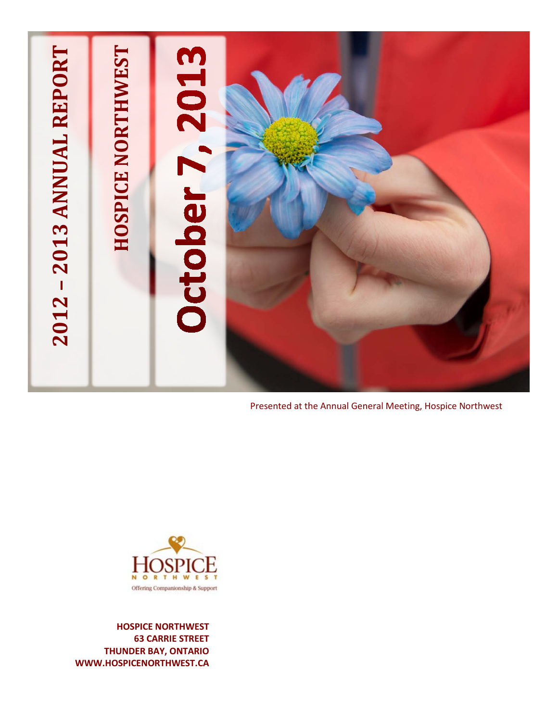

Presented at the Annual General Meeting, Hospice Northwest



**HOSPICE NORTHWEST 63 CARRIE STREET THUNDER BAY, ONTARIO WWW.HOSPICENORTHWEST.CA**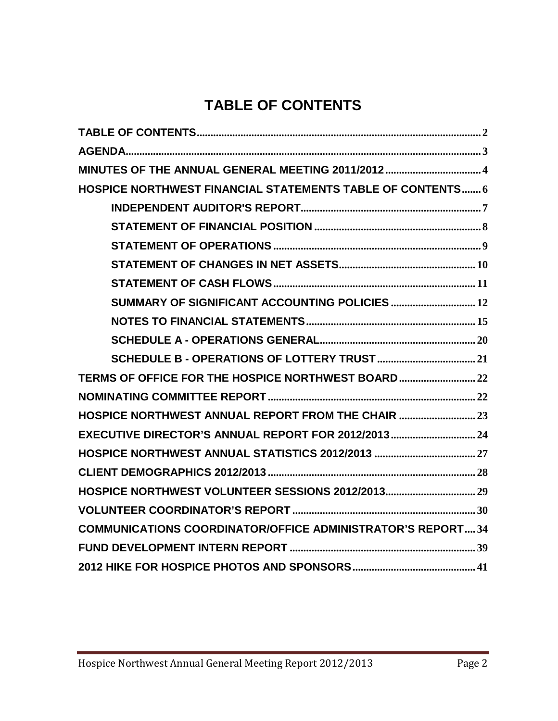# **TABLE OF CONTENTS**

<span id="page-1-0"></span>

| <b>HOSPICE NORTHWEST FINANCIAL STATEMENTS TABLE OF CONTENTS 6</b> |
|-------------------------------------------------------------------|
|                                                                   |
|                                                                   |
|                                                                   |
|                                                                   |
|                                                                   |
| SUMMARY OF SIGNIFICANT ACCOUNTING POLICIES 12                     |
|                                                                   |
|                                                                   |
|                                                                   |
|                                                                   |
|                                                                   |
| HOSPICE NORTHWEST ANNUAL REPORT FROM THE CHAIR  23                |
| EXECUTIVE DIRECTOR'S ANNUAL REPORT FOR 2012/2013 24               |
|                                                                   |
|                                                                   |
| HOSPICE NORTHWEST VOLUNTEER SESSIONS 2012/2013 29                 |
|                                                                   |
| <b>COMMUNICATIONS COORDINATOR/OFFICE ADMINISTRATOR'S REPORT34</b> |
|                                                                   |
|                                                                   |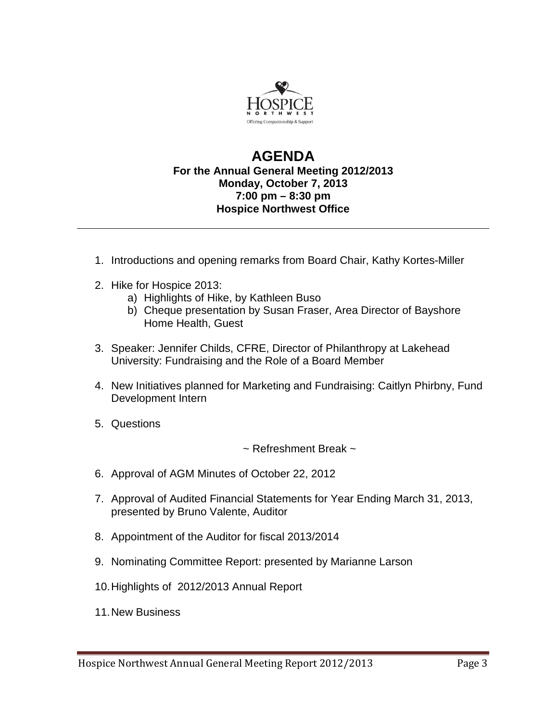

# <span id="page-2-0"></span>**AGENDA For the Annual General Meeting 2012/2013 Monday, October 7, 2013**

#### **7:00 pm – 8:30 pm Hospice Northwest Office**

- 1. Introductions and opening remarks from Board Chair, Kathy Kortes-Miller
- 2. Hike for Hospice 2013:
	- a) Highlights of Hike, by Kathleen Buso
	- b) Cheque presentation by Susan Fraser, Area Director of Bayshore Home Health, Guest
- 3. Speaker: Jennifer Childs, CFRE, Director of Philanthropy at Lakehead University: Fundraising and the Role of a Board Member
- 4. New Initiatives planned for Marketing and Fundraising: Caitlyn Phirbny, Fund Development Intern
- 5. Questions

~ Refreshment Break ~

- 6. Approval of AGM Minutes of October 22, 2012
- 7. Approval of Audited Financial Statements for Year Ending March 31, 2013, presented by Bruno Valente, Auditor
- 8. Appointment of the Auditor for fiscal 2013/2014
- 9. Nominating Committee Report: presented by Marianne Larson
- 10.Highlights of 2012/2013 Annual Report
- 11.New Business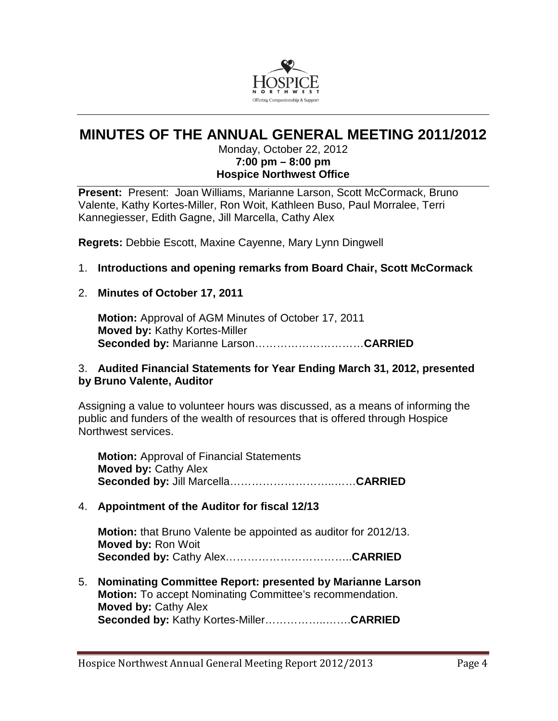

# <span id="page-3-0"></span>**MINUTES OF THE ANNUAL GENERAL MEETING 2011/2012**

## Monday, October 22, 2012 **7:00 pm – 8:00 pm Hospice Northwest Office**

**Present: Present: Joan Williams, Marianne Larson, Scott McCormack, Bruno** Valente, Kathy Kortes-Miller, Ron Woit, Kathleen Buso, Paul Morralee, Terri Kannegiesser, Edith Gagne, Jill Marcella, Cathy Alex

**Regrets:** Debbie Escott, Maxine Cayenne, Mary Lynn Dingwell

## 1. **Introductions and opening remarks from Board Chair, Scott McCormack**

### 2. **Minutes of October 17, 2011**

**Motion:** Approval of AGM Minutes of October 17, 2011 **Moved by:** Kathy Kortes-Miller **Seconded by:** Marianne Larson…………………………**CARRIED**

### 3. **Audited Financial Statements for Year Ending March 31, 2012, presented by Bruno Valente, Auditor**

Assigning a value to volunteer hours was discussed, as a means of informing the public and funders of the wealth of resources that is offered through Hospice Northwest services.

**Motion:** Approval of Financial Statements **Moved by:** Cathy Alex **Seconded by:** Jill Marcella………………………..……**CARRIED**

# 4. **Appointment of the Auditor for fiscal 12/13**

**Motion:** that Bruno Valente be appointed as auditor for 2012/13. **Moved by:** Ron Woit **Seconded by:** Cathy Alex……………………………..**CARRIED**

5. **Nominating Committee Report: presented by Marianne Larson Motion:** To accept Nominating Committee's recommendation. **Moved by:** Cathy Alex **Seconded by:** Kathy Kortes-Miller……………..…….**CARRIED**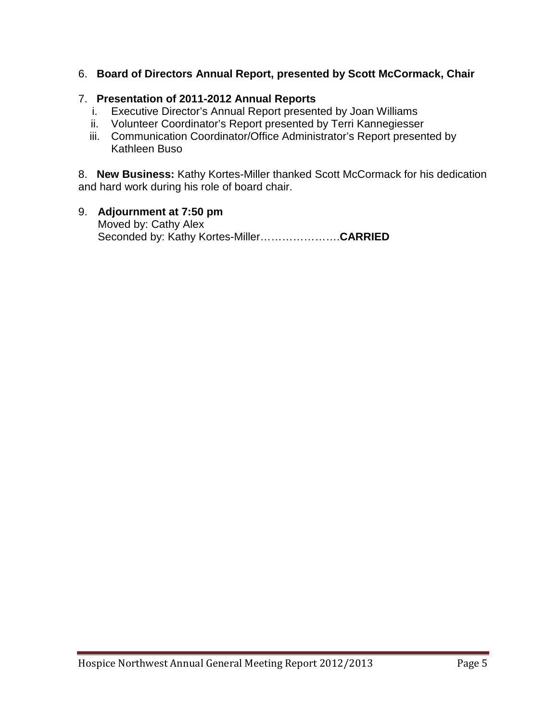# 6. **Board of Directors Annual Report, presented by Scott McCormack, Chair**

## 7. **Presentation of 2011-2012 Annual Reports**

- i. Executive Director's Annual Report presented by Joan Williams
- ii. Volunteer Coordinator's Report presented by Terri Kannegiesser
- iii. Communication Coordinator/Office Administrator's Report presented by Kathleen Buso

8. **New Business:** Kathy Kortes-Miller thanked Scott McCormack for his dedication and hard work during his role of board chair.

# 9. **Adjournment at 7:50 pm**

Moved by: Cathy Alex Seconded by: Kathy Kortes-Miller………………….**CARRIED**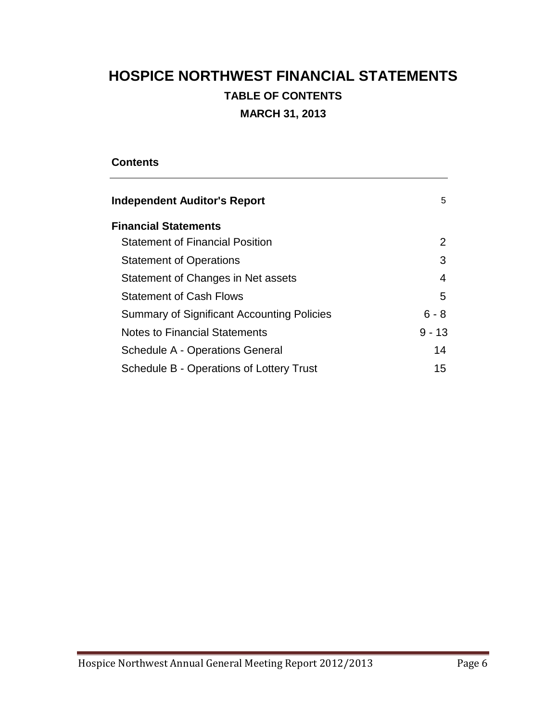# <span id="page-5-0"></span>**HOSPICE NORTHWEST FINANCIAL STATEMENTS TABLE OF CONTENTS MARCH 31, 2013**

## **Contents**

| <b>Independent Auditor's Report</b>               | 5             |
|---------------------------------------------------|---------------|
| <b>Financial Statements</b>                       |               |
| <b>Statement of Financial Position</b>            | $\mathcal{P}$ |
| <b>Statement of Operations</b>                    | 3             |
| Statement of Changes in Net assets                | 4             |
| <b>Statement of Cash Flows</b>                    | 5             |
| <b>Summary of Significant Accounting Policies</b> | $6 - 8$       |
| <b>Notes to Financial Statements</b>              | $9 - 13$      |
| <b>Schedule A - Operations General</b>            | 14            |
| Schedule B - Operations of Lottery Trust          | 15            |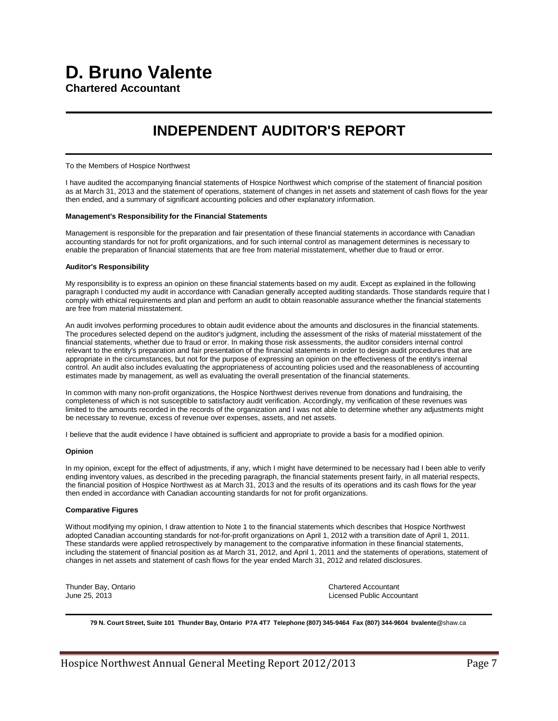# **D. Bruno Valente**

<span id="page-6-0"></span>**Chartered Accountant**

# **INDEPENDENT AUDITOR'S REPORT**

To the Members of Hospice Northwest

I have audited the accompanying financial statements of Hospice Northwest which comprise of the statement of financial position as at March 31, 2013 and the statement of operations, statement of changes in net assets and statement of cash flows for the year then ended, and a summary of significant accounting policies and other explanatory information.

#### **Management's Responsibility for the Financial Statements**

Management is responsible for the preparation and fair presentation of these financial statements in accordance with Canadian accounting standards for not for profit organizations, and for such internal control as management determines is necessary to enable the preparation of financial statements that are free from material misstatement, whether due to fraud or error.

#### **Auditor's Responsibility**

My responsibility is to express an opinion on these financial statements based on my audit. Except as explained in the following paragraph I conducted my audit in accordance with Canadian generally accepted auditing standards. Those standards require that I comply with ethical requirements and plan and perform an audit to obtain reasonable assurance whether the financial statements are free from material misstatement.

An audit involves performing procedures to obtain audit evidence about the amounts and disclosures in the financial statements. The procedures selected depend on the auditor's judgment, including the assessment of the risks of material misstatement of the financial statements, whether due to fraud or error. In making those risk assessments, the auditor considers internal control relevant to the entity's preparation and fair presentation of the financial statements in order to design audit procedures that are appropriate in the circumstances, but not for the purpose of expressing an opinion on the effectiveness of the entity's internal control. An audit also includes evaluating the appropriateness of accounting policies used and the reasonableness of accounting estimates made by management, as well as evaluating the overall presentation of the financial statements.

In common with many non-profit organizations, the Hospice Northwest derives revenue from donations and fundraising, the completeness of which is not susceptible to satisfactory audit verification. Accordingly, my verification of these revenues was limited to the amounts recorded in the records of the organization and I was not able to determine whether any adjustments might be necessary to revenue, excess of revenue over expenses, assets, and net assets.

I believe that the audit evidence I have obtained is sufficient and appropriate to provide a basis for a modified opinion.

#### **Opinion**

In my opinion, except for the effect of adjustments, if any, which I might have determined to be necessary had I been able to verify ending inventory values, as described in the preceding paragraph, the financial statements present fairly, in all material respects, the financial position of Hospice Northwest as at March 31, 2013 and the results of its operations and its cash flows for the year then ended in accordance with Canadian accounting standards for not for profit organizations.

#### **Comparative Figures**

Without modifying my opinion, I draw attention to Note 1 to the financial statements which describes that Hospice Northwest adopted Canadian accounting standards for not-for-profit organizations on April 1, 2012 with a transition date of April 1, 2011. These standards were applied retrospectively by management to the comparative information in these financial statements, including the statement of financial position as at March 31, 2012, and April 1, 2011 and the statements of operations, statement of changes in net assets and statement of cash flows for the year ended March 31, 2012 and related disclosures.

Thunder Bay, Ontario **Charter Accountant** Chartered Accountant Chartered Accountant Chartered Accountant June 25, 2013 Licensed Public Accountant

79 N. Court Street, Suite 101 Thunder Bay, Ontario P7A 4T7 Telephone (807) 345-9464 Fax (807) 344-9604 [bvalente@](mailto:bvalente@shaw.ca)shaw.ca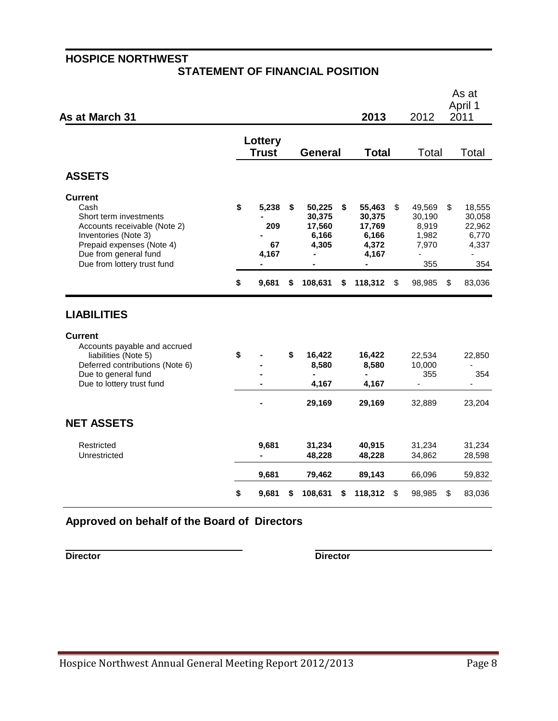<span id="page-7-0"></span>

| As at March 31                                                                                                                                                                                |                                   |                                                    | 2013                                                        | 2012                                                     | As at<br>April 1<br>2011                                  |
|-----------------------------------------------------------------------------------------------------------------------------------------------------------------------------------------------|-----------------------------------|----------------------------------------------------|-------------------------------------------------------------|----------------------------------------------------------|-----------------------------------------------------------|
|                                                                                                                                                                                               | Lottery<br><b>Trust</b>           | <b>General</b>                                     | <b>Total</b>                                                | Total                                                    | Total                                                     |
| <b>ASSETS</b>                                                                                                                                                                                 |                                   |                                                    |                                                             |                                                          |                                                           |
| <b>Current</b><br>Cash<br>Short term investments<br>Accounts receivable (Note 2)<br>Inventories (Note 3)<br>Prepaid expenses (Note 4)<br>Due from general fund<br>Due from lottery trust fund | \$<br>5,238<br>209<br>67<br>4,167 | \$<br>50,225<br>30,375<br>17,560<br>6,166<br>4,305 | \$<br>55,463<br>30,375<br>17,769<br>6,166<br>4,372<br>4,167 | \$<br>49,569<br>30,190<br>8,919<br>1,982<br>7,970<br>355 | \$<br>18,555<br>30,058<br>22,962<br>6,770<br>4,337<br>354 |
|                                                                                                                                                                                               | \$<br>9,681                       | \$<br>108,631                                      | \$<br>118,312                                               | \$<br>98,985                                             | \$<br>83,036                                              |
| <b>LIABILITIES</b>                                                                                                                                                                            |                                   |                                                    |                                                             |                                                          |                                                           |
| <b>Current</b><br>Accounts payable and accrued<br>liabilities (Note 5)<br>Deferred contributions (Note 6)<br>Due to general fund<br>Due to lottery trust fund                                 | \$                                | \$<br>16,422<br>8,580<br>4,167<br>29,169           | 16,422<br>8,580<br>4,167<br>29,169                          | 22,534<br>10,000<br>355<br>32,889                        | 22,850<br>354<br>23,204                                   |
| <b>NET ASSETS</b>                                                                                                                                                                             |                                   |                                                    |                                                             |                                                          |                                                           |
| Restricted<br>Unrestricted                                                                                                                                                                    | 9,681                             | 31,234<br>48,228                                   | 40,915<br>48,228                                            | 31,234<br>34,862                                         | 31,234<br>28,598                                          |
|                                                                                                                                                                                               | 9,681                             | 79,462                                             | 89,143                                                      | 66,096                                                   | 59,832                                                    |
|                                                                                                                                                                                               | \$<br>9,681                       | \$<br>108,631                                      | \$<br>118,312                                               | \$<br>98,985                                             | \$<br>83,036                                              |

# **STATEMENT OF FINANCIAL POSITION**

# **Approved on behalf of the Board of Directors**

**Director** Director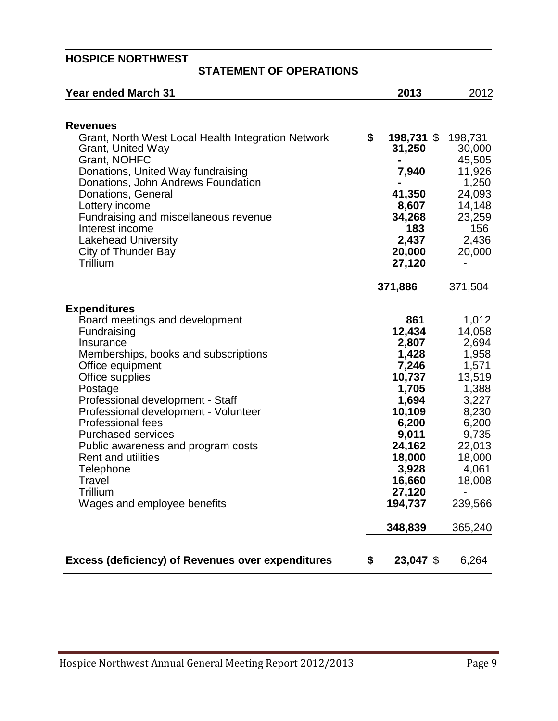# **STATEMENT OF OPERATIONS**

<span id="page-8-0"></span>

| <b>Year ended March 31</b>                               | 2013             | 2012    |
|----------------------------------------------------------|------------------|---------|
|                                                          |                  |         |
| <b>Revenues</b>                                          |                  |         |
| Grant, North West Local Health Integration Network       | \$<br>198,731 \$ | 198,731 |
| Grant, United Way                                        | 31,250           | 30,000  |
| Grant, NOHFC                                             |                  | 45,505  |
| Donations, United Way fundraising                        | 7,940            | 11,926  |
| Donations, John Andrews Foundation                       |                  | 1,250   |
| Donations, General                                       | 41,350           | 24,093  |
| Lottery income                                           | 8,607            | 14,148  |
| Fundraising and miscellaneous revenue                    | 34,268           | 23,259  |
| Interest income                                          | 183              | 156     |
| <b>Lakehead University</b>                               | 2,437            | 2,436   |
| City of Thunder Bay                                      | 20,000           | 20,000  |
| Trillium                                                 | 27,120           |         |
|                                                          | 371,886          | 371,504 |
| <b>Expenditures</b>                                      |                  |         |
| Board meetings and development                           | 861              | 1,012   |
| Fundraising                                              | 12,434           | 14,058  |
| Insurance                                                | 2,807            | 2,694   |
| Memberships, books and subscriptions                     | 1,428            | 1,958   |
| Office equipment                                         | 7,246            | 1,571   |
| Office supplies                                          | 10,737           | 13,519  |
| Postage                                                  | 1,705            | 1,388   |
| Professional development - Staff                         | 1,694            | 3,227   |
| Professional development - Volunteer                     | 10,109           | 8,230   |
| <b>Professional fees</b>                                 | 6,200            | 6,200   |
| <b>Purchased services</b>                                | 9,011            | 9,735   |
| Public awareness and program costs                       | 24,162           | 22,013  |
| <b>Rent and utilities</b>                                | 18,000           | 18,000  |
| Telephone                                                | 3,928            | 4,061   |
| Travel                                                   | 16,660           | 18,008  |
| Trillium                                                 | 27,120           |         |
| Wages and employee benefits                              | 194,737          | 239,566 |
|                                                          | 348,839          | 365,240 |
| <b>Excess (deficiency) of Revenues over expenditures</b> | \$<br>23,047 \$  | 6,264   |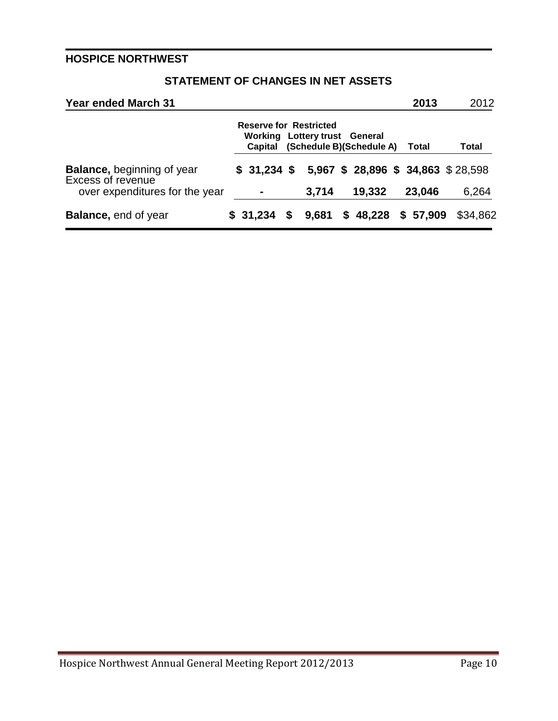# **STATEMENT OF CHANGES IN NET ASSETS**

<span id="page-9-0"></span>

| <b>Year ended March 31</b>                             |                                                                                  |    |       |                          | 2013   | 2012     |
|--------------------------------------------------------|----------------------------------------------------------------------------------|----|-------|--------------------------|--------|----------|
|                                                        | <b>Reserve for Restricted</b><br><b>Working Lottery trust General</b><br>Capital |    |       | (Schedule B)(Schedule A) | Total  | Total    |
| <b>Balance, beginning of year</b><br>Excess of revenue | $$31,234$ \$ 5,967 \$ 28,896 \$ 34,863 \$ 28,598                                 |    |       |                          |        |          |
| over expenditures for the year                         |                                                                                  |    | 3,714 | 19,332                   | 23,046 | 6,264    |
| <b>Balance, end of year</b>                            | \$31,234                                                                         | S. | 9,681 | \$48,228\$57,909         |        | \$34,862 |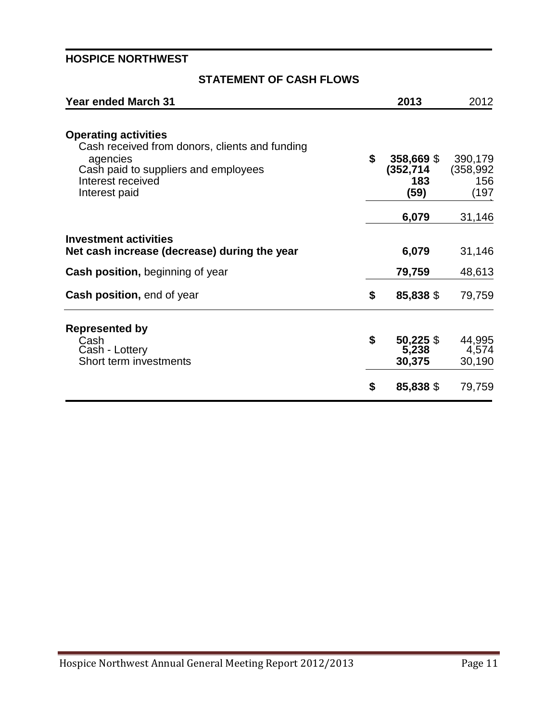# **STATEMENT OF CASH FLOWS**

<span id="page-10-0"></span>

| <b>Year ended March 31</b>                                                                                                                                              | 2013                                                 | 2012                                           |
|-------------------------------------------------------------------------------------------------------------------------------------------------------------------------|------------------------------------------------------|------------------------------------------------|
| <b>Operating activities</b><br>Cash received from donors, clients and funding<br>agencies<br>Cash paid to suppliers and employees<br>Interest received<br>Interest paid | \$<br>358,669 \$<br>(352,714<br>183<br>(59)<br>6,079 | 390,179<br>(358, 992)<br>156<br>(197<br>31,146 |
|                                                                                                                                                                         |                                                      |                                                |
| Investment activities<br>Net cash increase (decrease) during the year                                                                                                   | 6,079                                                | 31,146                                         |
| <b>Cash position, beginning of year</b>                                                                                                                                 | 79,759                                               | 48,613                                         |
| <b>Cash position, end of year</b>                                                                                                                                       | \$<br>85,838 \$                                      | 79,759                                         |
| <b>Represented by</b><br>Cash<br>Cash - Lottery<br>Short term investments                                                                                               | \$<br>50,225 \$<br>5,238<br>30,375                   | 44,995<br>4,574<br>30,190                      |
|                                                                                                                                                                         | \$<br>85,838 \$                                      | 79,759                                         |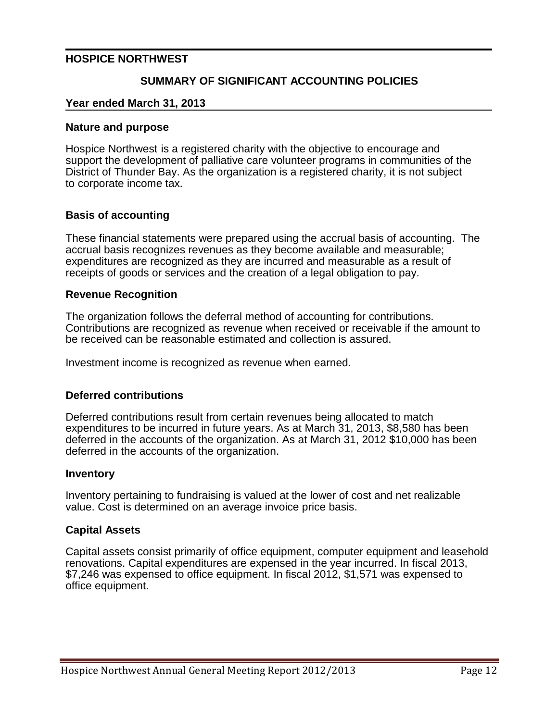### **SUMMARY OF SIGNIFICANT ACCOUNTING POLICIES**

#### <span id="page-11-0"></span>**Year ended March 31, 2013**

#### **Nature and purpose**

Hospice Northwest is a registered charity with the objective to encourage and support the development of palliative care volunteer programs in communities of the District of Thunder Bay. As the organization is a registered charity, it is not subject to corporate income tax.

#### **Basis of accounting**

These financial statements were prepared using the accrual basis of accounting. The accrual basis recognizes revenues as they become available and measurable; expenditures are recognized as they are incurred and measurable as a result of receipts of goods or services and the creation of a legal obligation to pay.

#### **Revenue Recognition**

The organization follows the deferral method of accounting for contributions. Contributions are recognized as revenue when received or receivable if the amount to be received can be reasonable estimated and collection is assured.

Investment income is recognized as revenue when earned.

#### **Deferred contributions**

Deferred contributions result from certain revenues being allocated to match expenditures to be incurred in future years. As at March 31, 2013, \$8,580 has been deferred in the accounts of the organization. As at March 31, 2012 \$10,000 has been deferred in the accounts of the organization.

#### **Inventory**

Inventory pertaining to fundraising is valued at the lower of cost and net realizable value. Cost is determined on an average invoice price basis.

#### **Capital Assets**

Capital assets consist primarily of office equipment, computer equipment and leasehold renovations. Capital expenditures are expensed in the year incurred. In fiscal 2013, \$7,246 was expensed to office equipment. In fiscal 2012, \$1,571 was expensed to office equipment.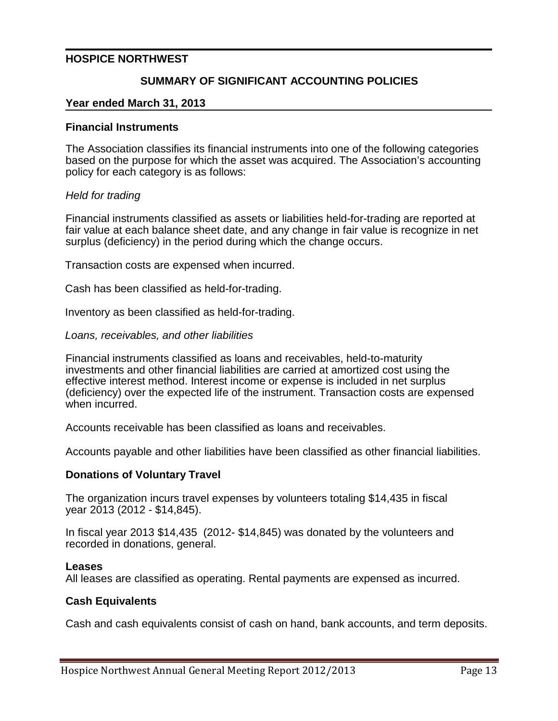### **SUMMARY OF SIGNIFICANT ACCOUNTING POLICIES**

#### **Year ended March 31, 2013**

#### **Financial Instruments**

The Association classifies its financial instruments into one of the following categories based on the purpose for which the asset was acquired. The Association's accounting policy for each category is as follows:

#### *Held for trading*

Financial instruments classified as assets or liabilities held-for-trading are reported at fair value at each balance sheet date, and any change in fair value is recognize in net surplus (deficiency) in the period during which the change occurs.

Transaction costs are expensed when incurred.

Cash has been classified as held-for-trading.

Inventory as been classified as held-for-trading.

#### *Loans, receivables, and other liabilities*

Financial instruments classified as loans and receivables, held-to-maturity investments and other financial liabilities are carried at amortized cost using the effective interest method. Interest income or expense is included in net surplus (deficiency) over the expected life of the instrument. Transaction costs are expensed when incurred.

Accounts receivable has been classified as loans and receivables.

Accounts payable and other liabilities have been classified as other financial liabilities.

#### **Donations of Voluntary Travel**

The organization incurs travel expenses by volunteers totaling \$14,435 in fiscal year 2013 (2012 - \$14,845).

In fiscal year 2013 \$14,435 (2012- \$14,845) was donated by the volunteers and recorded in donations, general.

#### **Leases**

All leases are classified as operating. Rental payments are expensed as incurred.

#### **Cash Equivalents**

Cash and cash equivalents consist of cash on hand, bank accounts, and term deposits.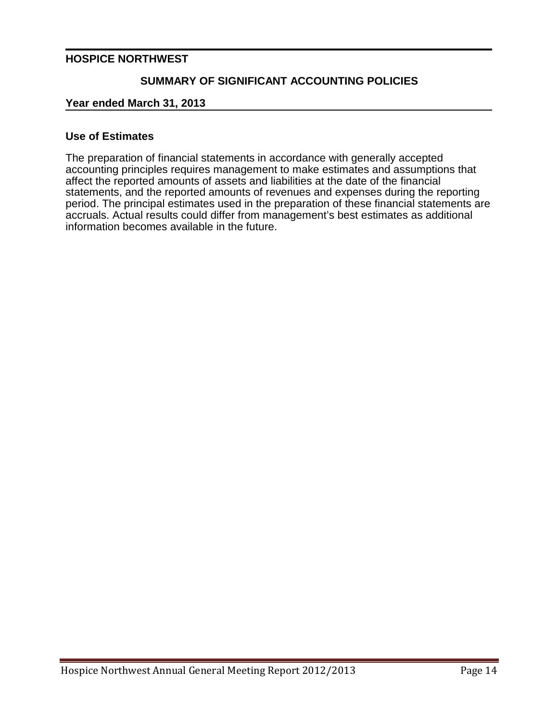### **SUMMARY OF SIGNIFICANT ACCOUNTING POLICIES**

#### **Year ended March 31, 2013**

#### **Use of Estimates**

The preparation of financial statements in accordance with generally accepted accounting principles requires management to make estimates and assumptions that affect the reported amounts of assets and liabilities at the date of the financial statements, and the reported amounts of revenues and expenses during the reporting period. The principal estimates used in the preparation of these financial statements are accruals. Actual results could differ from management's best estimates as additional information becomes available in the future.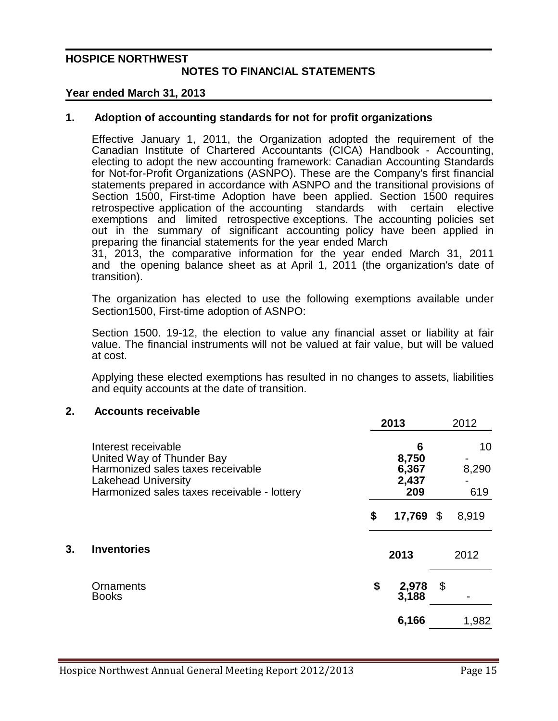# **NOTES TO FINANCIAL STATEMENTS**

#### <span id="page-14-0"></span>**Year ended March 31, 2013**

### **1. Adoption of accounting standards for not for profit organizations**

Effective January 1, 2011, the Organization adopted the requirement of the Canadian Institute of Chartered Accountants (CICA) Handbook - Accounting, electing to adopt the new accounting framework: Canadian Accounting Standards for Not-for-Profit Organizations (ASNPO). These are the Company's first financial statements prepared in accordance with ASNPO and the transitional provisions of Section 1500, First-time Adoption have been applied. Section 1500 requires retrospective application of the accounting standards with certain elective retrospective application of the accounting exemptions and limited retrospective exceptions. The accounting policies set out in the summary of significant accounting policy have been applied in preparing the financial statements for the year ended March

31, 2013, the comparative information for the year ended March 31, 2011 and the opening balance sheet as at April 1, 2011 (the organization's date of transition).

The organization has elected to use the following exemptions available under Section1500, First-time adoption of ASNPO:

Section 1500. 19-12, the election to value any financial asset or liability at fair value. The financial instruments will not be valued at fair value, but will be valued at cost.

Applying these elected exemptions has resulted in no changes to assets, liabilities and equity accounts at the date of transition.

#### **2. Accounts receivable**

|    |                                                                                                                                                                    | 2013                                | 2012               |
|----|--------------------------------------------------------------------------------------------------------------------------------------------------------------------|-------------------------------------|--------------------|
|    | Interest receivable<br>United Way of Thunder Bay<br>Harmonized sales taxes receivable<br><b>Lakehead University</b><br>Harmonized sales taxes receivable - lottery | 6<br>8,750<br>6,367<br>2,437<br>209 | 10<br>8,290<br>619 |
|    |                                                                                                                                                                    | \$<br>17,769 \$                     | 8,919              |
| 3. | <b>Inventories</b>                                                                                                                                                 | 2013                                | 2012               |
|    | Ornaments<br><b>Books</b>                                                                                                                                          | \$<br>2,978<br>3,188                | \$                 |
|    |                                                                                                                                                                    | 6,166                               | 1,982              |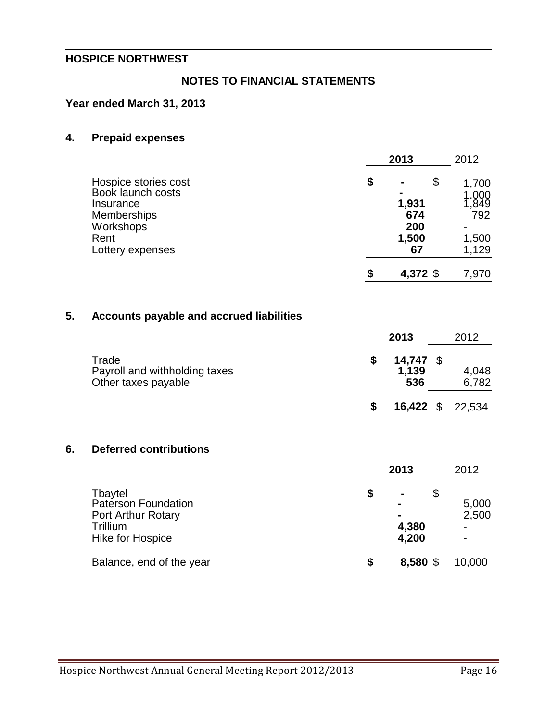## **NOTES TO FINANCIAL STATEMENTS**

# **Year ended March 31, 2013**

# **4. Prepaid expenses**

|    |                                                                                                                       | 2013                                     | 2012                                                   |
|----|-----------------------------------------------------------------------------------------------------------------------|------------------------------------------|--------------------------------------------------------|
|    | Hospice stories cost<br>Book launch costs<br>Insurance<br><b>Memberships</b><br>Workshops<br>Rent<br>Lottery expenses | \$<br>1,931<br>674<br>200<br>1,500<br>67 | \$<br>1,700<br>1.000<br>1,849<br>792<br>1,500<br>1,129 |
|    |                                                                                                                       | \$<br>4,372 \$                           | 7,970                                                  |
| 5. | <b>Accounts payable and accrued liabilities</b>                                                                       |                                          |                                                        |
|    |                                                                                                                       | 2013                                     | 2012                                                   |
|    | Trade<br>Payroll and withholding taxes<br>Other taxes payable                                                         | \$<br>14,747<br>1,139<br>536             | \$<br>4,048<br>6,782                                   |
|    |                                                                                                                       | \$<br>16,422                             | \$<br>22,534                                           |
| 6. | <b>Deferred contributions</b>                                                                                         |                                          |                                                        |
|    |                                                                                                                       | 2013                                     | 2012                                                   |
|    | <b>T</b> baytel<br><b>Paterson Foundation</b><br>Port Arthur Rotary<br>Trillium<br><b>Hike for Hospice</b>            | \$<br>4,380<br>4,200                     | \$<br>5,000<br>2,500                                   |
|    | Balance, end of the year                                                                                              | \$<br>8,580 \$                           | 10,000                                                 |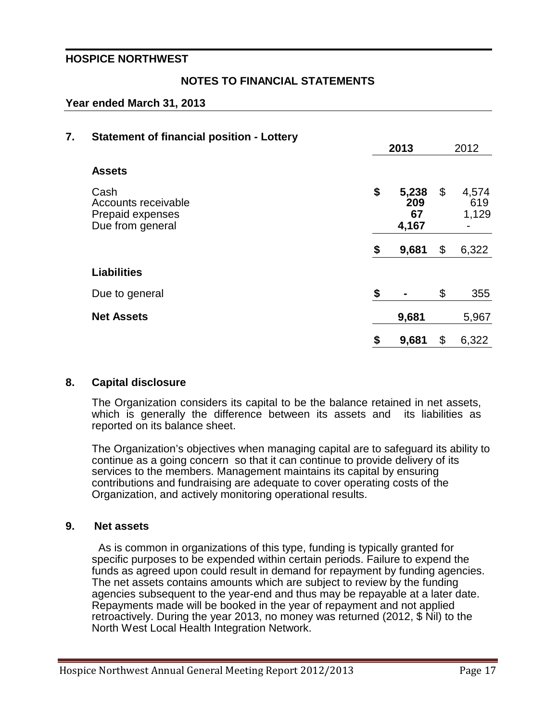### **NOTES TO FINANCIAL STATEMENTS**

### **Year ended March 31, 2013**

#### **7. Statement of financial position - Lottery**

|                                                                     | 2013 |                             | 2012                        |
|---------------------------------------------------------------------|------|-----------------------------|-----------------------------|
| <b>Assets</b>                                                       |      |                             |                             |
| Cash<br>Accounts receivable<br>Prepaid expenses<br>Due from general | \$   | 5,238<br>209<br>67<br>4,167 | \$<br>4,574<br>619<br>1,129 |
|                                                                     | \$   | 9,681                       | \$<br>6,322                 |
| <b>Liabilities</b>                                                  |      |                             |                             |
| Due to general                                                      | \$   | $\blacksquare$              | \$<br>355                   |
| <b>Net Assets</b>                                                   |      | 9,681                       | 5,967                       |
|                                                                     | \$   | 9,681                       | \$<br>6,322                 |

#### **8. Capital disclosure**

The Organization considers its capital to be the balance retained in net assets, which is generally the difference between its assets and its liabilities as reported on its balance sheet.

The Organization's objectives when managing capital are to safeguard its ability to continue as a going concern so that it can continue to provide delivery of its services to the members. Management maintains its capital by ensuring contributions and fundraising are adequate to cover operating costs of the Organization, and actively monitoring operational results.

#### **9. Net assets**

As is common in organizations of this type, funding is typically granted for specific purposes to be expended within certain periods. Failure to expend the funds as agreed upon could result in demand for repayment by funding agencies. The net assets contains amounts which are subject to review by the funding agencies subsequent to the year-end and thus may be repayable at a later date. Repayments made will be booked in the year of repayment and not applied retroactively. During the year 2013, no money was returned (2012, \$ Nil) to the North West Local Health Integration Network.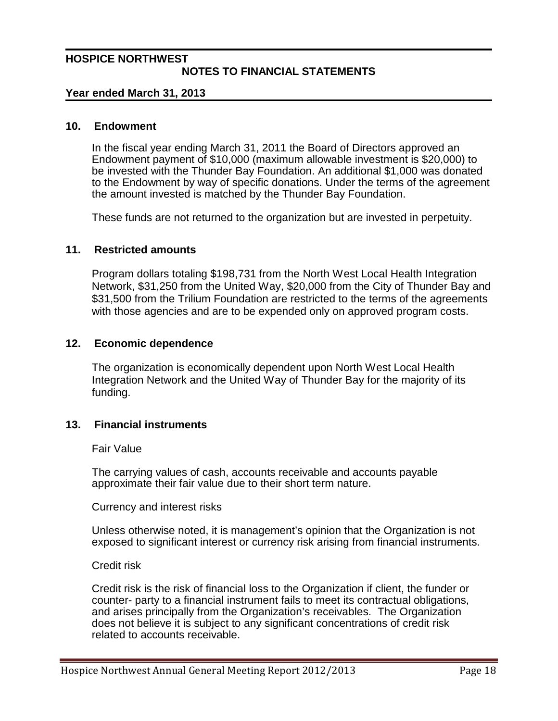## **NOTES TO FINANCIAL STATEMENTS**

### **Year ended March 31, 2013**

#### **10. Endowment**

In the fiscal year ending March 31, 2011 the Board of Directors approved an Endowment payment of \$10,000 (maximum allowable investment is \$20,000) to be invested with the Thunder Bay Foundation. An additional \$1,000 was donated to the Endowment by way of specific donations. Under the terms of the agreement the amount invested is matched by the Thunder Bay Foundation.

These funds are not returned to the organization but are invested in perpetuity.

#### **11. Restricted amounts**

Program dollars totaling \$198,731 from the North West Local Health Integration Network, \$31,250 from the United Way, \$20,000 from the City of Thunder Bay and \$31,500 from the Trilium Foundation are restricted to the terms of the agreements with those agencies and are to be expended only on approved program costs.

#### **12. Economic dependence**

The organization is economically dependent upon North West Local Health Integration Network and the United Way of Thunder Bay for the majority of its funding.

### **13. Financial instruments**

Fair Value

The carrying values of cash, accounts receivable and accounts payable approximate their fair value due to their short term nature.

Currency and interest risks

Unless otherwise noted, it is management's opinion that the Organization is not exposed to significant interest or currency risk arising from financial instruments.

#### Credit risk

Credit risk is the risk of financial loss to the Organization if client, the funder or counter- party to a financial instrument fails to meet its contractual obligations, and arises principally from the Organization's receivables. The Organization does not believe it is subject to any significant concentrations of credit risk related to accounts receivable.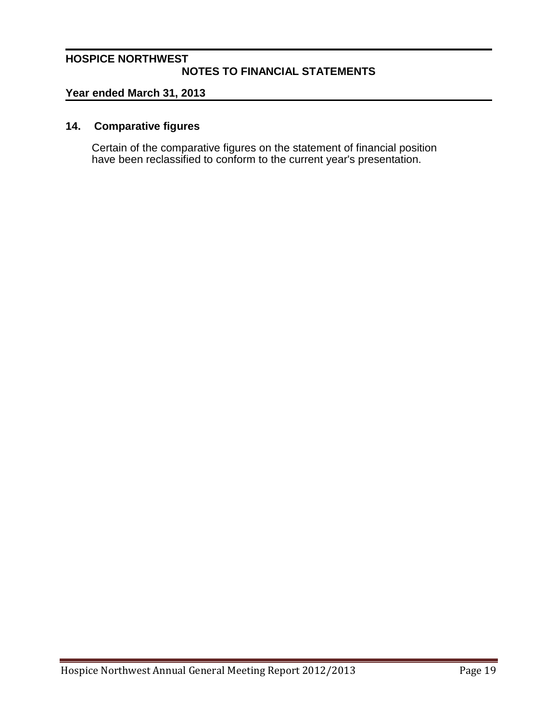## **NOTES TO FINANCIAL STATEMENTS**

## **Year ended March 31, 2013**

## **14. Comparative figures**

Certain of the comparative figures on the statement of financial position have been reclassified to conform to the current year's presentation.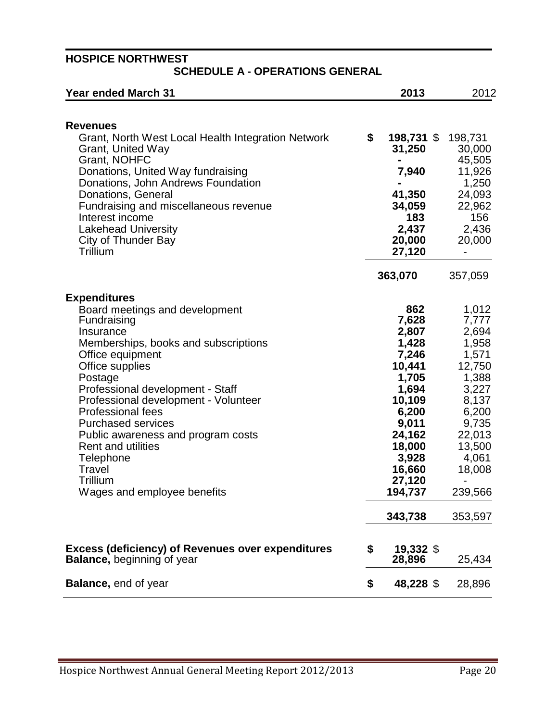# **SCHEDULE A - OPERATIONS GENERAL**

<span id="page-19-0"></span>

| <b>Year ended March 31</b>                                                                                                                                                                                                                                                                                                                                                                                                                                   | 2013                                                                                                                                                                   | 2012                                                                                                                                                          |
|--------------------------------------------------------------------------------------------------------------------------------------------------------------------------------------------------------------------------------------------------------------------------------------------------------------------------------------------------------------------------------------------------------------------------------------------------------------|------------------------------------------------------------------------------------------------------------------------------------------------------------------------|---------------------------------------------------------------------------------------------------------------------------------------------------------------|
|                                                                                                                                                                                                                                                                                                                                                                                                                                                              |                                                                                                                                                                        |                                                                                                                                                               |
| <b>Revenues</b><br>Grant, North West Local Health Integration Network<br>Grant, United Way<br>Grant, NOHFC<br>Donations, United Way fundraising<br>Donations, John Andrews Foundation<br>Donations, General<br>Fundraising and miscellaneous revenue<br>Interest income<br><b>Lakehead University</b><br>City of Thunder Bay<br>Trillium                                                                                                                     | \$<br>198,731 \$<br>31,250<br>7,940<br>-<br>41,350<br>34,059<br>183<br>2,437<br>20,000<br>27,120                                                                       | 198,731<br>30,000<br>45,505<br>11,926<br>1,250<br>24,093<br>22,962<br>156<br>2,436<br>20,000<br>$\qquad \qquad \blacksquare$                                  |
|                                                                                                                                                                                                                                                                                                                                                                                                                                                              | 363,070                                                                                                                                                                | 357,059                                                                                                                                                       |
| <b>Expenditures</b><br>Board meetings and development<br>Fundraising<br>Insurance<br>Memberships, books and subscriptions<br>Office equipment<br>Office supplies<br>Postage<br>Professional development - Staff<br>Professional development - Volunteer<br><b>Professional fees</b><br><b>Purchased services</b><br>Public awareness and program costs<br><b>Rent and utilities</b><br>Telephone<br><b>Travel</b><br>Trillium<br>Wages and employee benefits | 862<br>7,628<br>2,807<br>1,428<br>7,246<br>10,441<br>1,705<br>1,694<br>10,109<br>6,200<br>9,011<br>24,162<br>18,000<br>3,928<br>16,660<br>27,120<br>194,737<br>343,738 | 1,012<br>7,777<br>2,694<br>1,958<br>1,571<br>12,750<br>1,388<br>3,227<br>8,137<br>6,200<br>9,735<br>22,013<br>13,500<br>4,061<br>18,008<br>239,566<br>353,597 |
| <b>Excess (deficiency) of Revenues over expenditures</b><br><b>Balance, beginning of year</b>                                                                                                                                                                                                                                                                                                                                                                | \$<br>19,332 \$<br>28,896                                                                                                                                              | 25,434                                                                                                                                                        |
| <b>Balance, end of year</b>                                                                                                                                                                                                                                                                                                                                                                                                                                  | \$<br>48,228 \$                                                                                                                                                        | 28,896                                                                                                                                                        |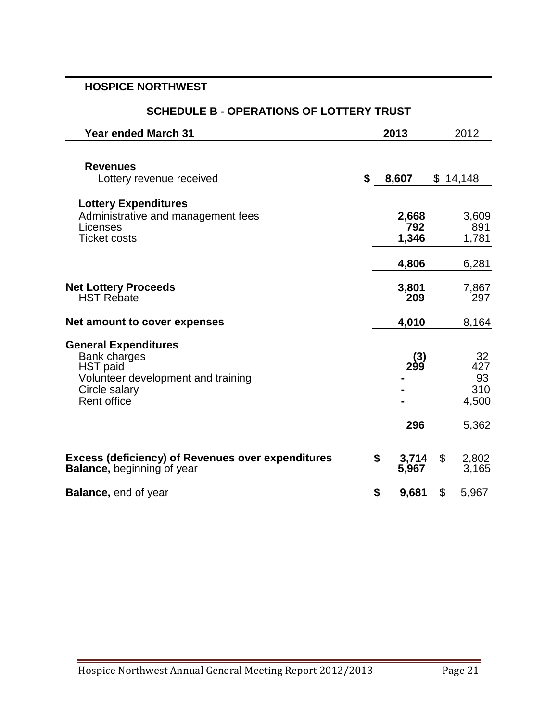# **SCHEDULE B - OPERATIONS OF LOTTERY TRUST**

<span id="page-20-0"></span>

| <b>Year ended March 31</b>                                                                                                                  | 2013                  | 2012                            |
|---------------------------------------------------------------------------------------------------------------------------------------------|-----------------------|---------------------------------|
| <b>Revenues</b><br>Lottery revenue received                                                                                                 | \$<br>8,607           | \$<br>14,148                    |
|                                                                                                                                             |                       |                                 |
| <b>Lottery Expenditures</b><br>Administrative and management fees<br>Licenses<br><b>Ticket costs</b>                                        | 2,668<br>792<br>1,346 | 3,609<br>891<br>1,781           |
|                                                                                                                                             | 4,806                 | 6,281                           |
| <b>Net Lottery Proceeds</b><br><b>HST Rebate</b>                                                                                            | 3,801<br>209          | 7,867<br>297                    |
| Net amount to cover expenses                                                                                                                | 4,010                 | 8,164                           |
| <b>General Expenditures</b><br><b>Bank charges</b><br>HST paid<br>Volunteer development and training<br>Circle salary<br><b>Rent office</b> | (3)<br>299            | 32<br>427<br>93<br>310<br>4,500 |
|                                                                                                                                             | 296                   | 5,362                           |
| <b>Excess (deficiency) of Revenues over expenditures</b><br><b>Balance, beginning of year</b>                                               | \$<br>3,714<br>5,967  | \$<br>2,802<br>3,165            |
| <b>Balance, end of year</b>                                                                                                                 | \$<br>9,681           | \$<br>5,967                     |
|                                                                                                                                             |                       |                                 |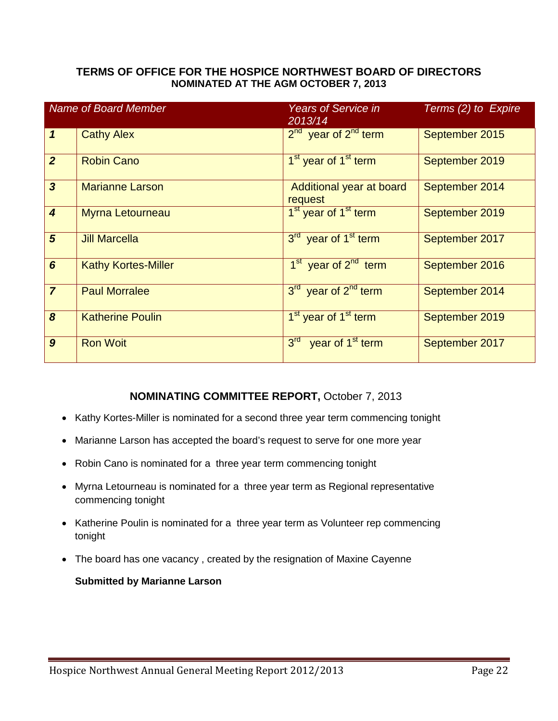### <span id="page-21-0"></span>**TERMS OF OFFICE FOR THE HOSPICE NORTHWEST BOARD OF DIRECTORS NOMINATED AT THE AGM OCTOBER 7, 2013**

|                         | <b>Name of Board Member</b> | <b>Years of Service in</b><br>2013/14           | Terms (2) to Expire |
|-------------------------|-----------------------------|-------------------------------------------------|---------------------|
| $\mathbf{1}$            | <b>Cathy Alex</b>           | $2^{nd}$ year of $2^{nd}$ term                  | September 2015      |
| $\overline{2}$          | <b>Robin Cano</b>           | 1 <sup>st</sup> year of 1 <sup>st</sup> term    | September 2019      |
| $\overline{\mathbf{3}}$ | <b>Marianne Larson</b>      | Additional year at board<br><b>request</b>      | September 2014      |
| $\overline{4}$          | <b>Myrna Letourneau</b>     | 1 <sup>st</sup> year of 1 <sup>st</sup> term    | September 2019      |
| $5\phantom{1}$          | <b>Jill Marcella</b>        | 3 <sup>rd</sup> year of 1 <sup>st</sup> term    | September 2017      |
| 6                       | <b>Kathy Kortes-Miller</b>  | 1 <sup>st</sup> year of 2 <sup>nd</sup> term    | September 2016      |
| $\overline{7}$          | <b>Paul Morralee</b>        | 3 <sup>rd</sup> year of 2 <sup>nd</sup> term    | September 2014      |
| 8                       | <b>Katherine Poulin</b>     | 1 <sup>st</sup> year of 1 <sup>st</sup> term    | September 2019      |
| $\boldsymbol{9}$        | <b>Ron Woit</b>             | 3 <sup>rd</sup><br>year of 1 <sup>st</sup> term | September 2017      |

# **NOMINATING COMMITTEE REPORT,** October 7, 2013

- <span id="page-21-1"></span>• Kathy Kortes-Miller is nominated for a second three year term commencing tonight
- Marianne Larson has accepted the board's request to serve for one more year
- Robin Cano is nominated for a three year term commencing tonight
- Myrna Letourneau is nominated for a three year term as Regional representative commencing tonight
- Katherine Poulin is nominated for a three year term as Volunteer rep commencing tonight
- The board has one vacancy , created by the resignation of Maxine Cayenne

### **Submitted by Marianne Larson**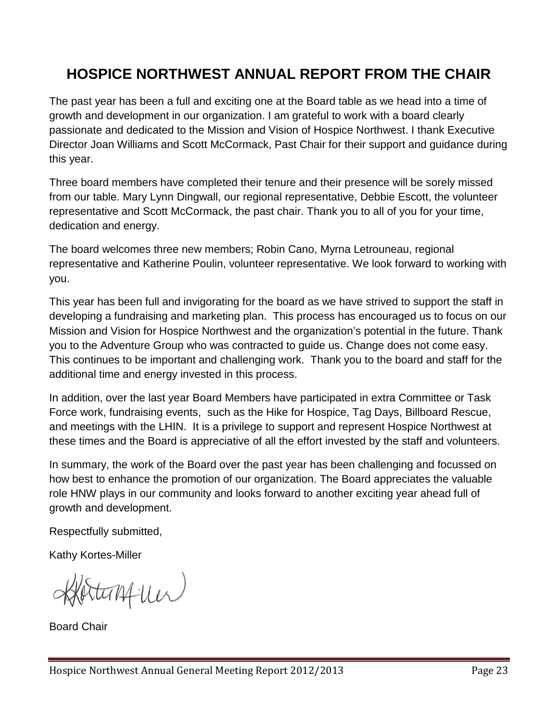# <span id="page-22-0"></span>**HOSPICE NORTHWEST ANNUAL REPORT FROM THE CHAIR**

The past year has been a full and exciting one at the Board table as we head into a time of growth and development in our organization. I am grateful to work with a board clearly passionate and dedicated to the Mission and Vision of Hospice Northwest. I thank Executive Director Joan Williams and Scott McCormack, Past Chair for their support and guidance during this year.

Three board members have completed their tenure and their presence will be sorely missed from our table. Mary Lynn Dingwall, our regional representative, Debbie Escott, the volunteer representative and Scott McCormack, the past chair. Thank you to all of you for your time, dedication and energy.

The board welcomes three new members; Robin Cano, Myrna Letrouneau, regional representative and Katherine Poulin, volunteer representative. We look forward to working with you.

This year has been full and invigorating for the board as we have strived to support the staff in developing a fundraising and marketing plan. This process has encouraged us to focus on our Mission and Vision for Hospice Northwest and the organization's potential in the future. Thank you to the Adventure Group who was contracted to guide us. Change does not come easy. This continues to be important and challenging work. Thank you to the board and staff for the additional time and energy invested in this process.

In addition, over the last year Board Members have participated in extra Committee or Task Force work, fundraising events, such as the Hike for Hospice, Tag Days, Billboard Rescue, and meetings with the LHIN. It is a privilege to support and represent Hospice Northwest at these times and the Board is appreciative of all the effort invested by the staff and volunteers.

In summary, the work of the Board over the past year has been challenging and focussed on how best to enhance the promotion of our organization. The Board appreciates the valuable role HNW plays in our community and looks forward to another exciting year ahead full of growth and development.

Respectfully submitted,

Kathy Kortes-Miller

Attemption

Board Chair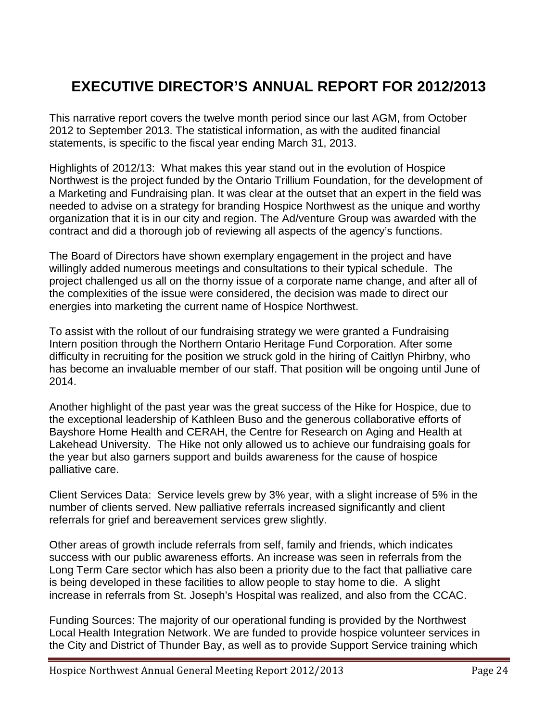# <span id="page-23-0"></span>**EXECUTIVE DIRECTOR'S ANNUAL REPORT FOR 2012/2013**

This narrative report covers the twelve month period since our last AGM, from October 2012 to September 2013. The statistical information, as with the audited financial statements, is specific to the fiscal year ending March 31, 2013.

Highlights of 2012/13: What makes this year stand out in the evolution of Hospice Northwest is the project funded by the Ontario Trillium Foundation, for the development of a Marketing and Fundraising plan. It was clear at the outset that an expert in the field was needed to advise on a strategy for branding Hospice Northwest as the unique and worthy organization that it is in our city and region. The Ad/venture Group was awarded with the contract and did a thorough job of reviewing all aspects of the agency's functions.

The Board of Directors have shown exemplary engagement in the project and have willingly added numerous meetings and consultations to their typical schedule. The project challenged us all on the thorny issue of a corporate name change, and after all of the complexities of the issue were considered, the decision was made to direct our energies into marketing the current name of Hospice Northwest.

To assist with the rollout of our fundraising strategy we were granted a Fundraising Intern position through the Northern Ontario Heritage Fund Corporation. After some difficulty in recruiting for the position we struck gold in the hiring of Caitlyn Phirbny, who has become an invaluable member of our staff. That position will be ongoing until June of 2014.

Another highlight of the past year was the great success of the Hike for Hospice, due to the exceptional leadership of Kathleen Buso and the generous collaborative efforts of Bayshore Home Health and CERAH, the Centre for Research on Aging and Health at Lakehead University. The Hike not only allowed us to achieve our fundraising goals for the year but also garners support and builds awareness for the cause of hospice palliative care.

Client Services Data: Service levels grew by 3% year, with a slight increase of 5% in the number of clients served. New palliative referrals increased significantly and client referrals for grief and bereavement services grew slightly.

Other areas of growth include referrals from self, family and friends, which indicates success with our public awareness efforts. An increase was seen in referrals from the Long Term Care sector which has also been a priority due to the fact that palliative care is being developed in these facilities to allow people to stay home to die. A slight increase in referrals from St. Joseph's Hospital was realized, and also from the CCAC.

Funding Sources: The majority of our operational funding is provided by the Northwest Local Health Integration Network. We are funded to provide hospice volunteer services in the City and District of Thunder Bay, as well as to provide Support Service training which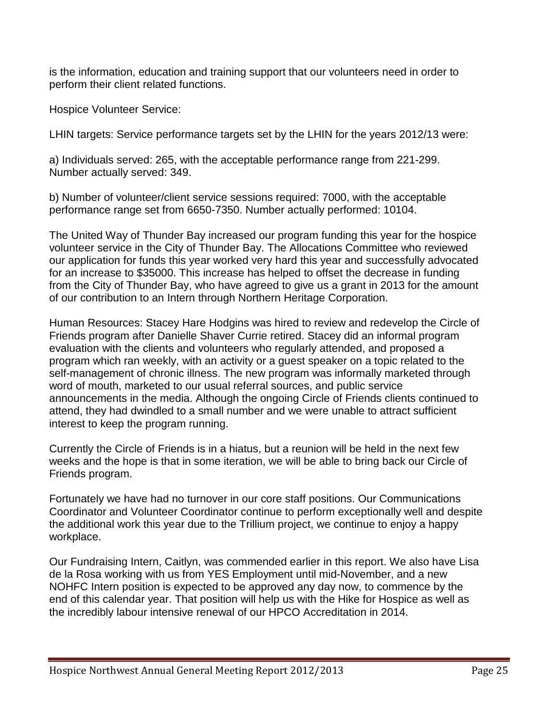is the information, education and training support that our volunteers need in order to perform their client related functions.

Hospice Volunteer Service:

LHIN targets: Service performance targets set by the LHIN for the years 2012/13 were:

a) Individuals served: 265, with the acceptable performance range from 221-299. Number actually served: 349.

b) Number of volunteer/client service sessions required: 7000, with the acceptable performance range set from 6650-7350. Number actually performed: 10104.

The United Way of Thunder Bay increased our program funding this year for the hospice volunteer service in the City of Thunder Bay. The Allocations Committee who reviewed our application for funds this year worked very hard this year and successfully advocated for an increase to \$35000. This increase has helped to offset the decrease in funding from the City of Thunder Bay, who have agreed to give us a grant in 2013 for the amount of our contribution to an Intern through Northern Heritage Corporation.

Human Resources: Stacey Hare Hodgins was hired to review and redevelop the Circle of Friends program after Danielle Shaver Currie retired. Stacey did an informal program evaluation with the clients and volunteers who regularly attended, and proposed a program which ran weekly, with an activity or a guest speaker on a topic related to the self-management of chronic illness. The new program was informally marketed through word of mouth, marketed to our usual referral sources, and public service announcements in the media. Although the ongoing Circle of Friends clients continued to attend, they had dwindled to a small number and we were unable to attract sufficient interest to keep the program running.

Currently the Circle of Friends is in a hiatus, but a reunion will be held in the next few weeks and the hope is that in some iteration, we will be able to bring back our Circle of Friends program.

Fortunately we have had no turnover in our core staff positions. Our Communications Coordinator and Volunteer Coordinator continue to perform exceptionally well and despite the additional work this year due to the Trillium project, we continue to enjoy a happy workplace.

Our Fundraising Intern, Caitlyn, was commended earlier in this report. We also have Lisa de la Rosa working with us from YES Employment until mid-November, and a new NOHFC Intern position is expected to be approved any day now, to commence by the end of this calendar year. That position will help us with the Hike for Hospice as well as the incredibly labour intensive renewal of our HPCO Accreditation in 2014.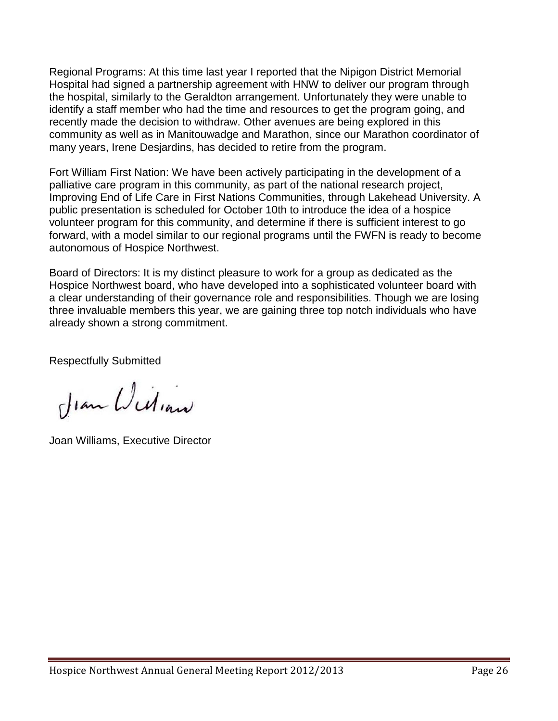Regional Programs: At this time last year I reported that the Nipigon District Memorial Hospital had signed a partnership agreement with HNW to deliver our program through the hospital, similarly to the Geraldton arrangement. Unfortunately they were unable to identify a staff member who had the time and resources to get the program going, and recently made the decision to withdraw. Other avenues are being explored in this community as well as in Manitouwadge and Marathon, since our Marathon coordinator of many years, Irene Desjardins, has decided to retire from the program.

Fort William First Nation: We have been actively participating in the development of a palliative care program in this community, as part of the national research project, Improving End of Life Care in First Nations Communities, through Lakehead University. A public presentation is scheduled for October 10th to introduce the idea of a hospice volunteer program for this community, and determine if there is sufficient interest to go forward, with a model similar to our regional programs until the FWFN is ready to become autonomous of Hospice Northwest.

Board of Directors: It is my distinct pleasure to work for a group as dedicated as the Hospice Northwest board, who have developed into a sophisticated volunteer board with a clear understanding of their governance role and responsibilities. Though we are losing three invaluable members this year, we are gaining three top notch individuals who have already shown a strong commitment.

Respectfully Submitted

Jean William

Joan Williams, Executive Director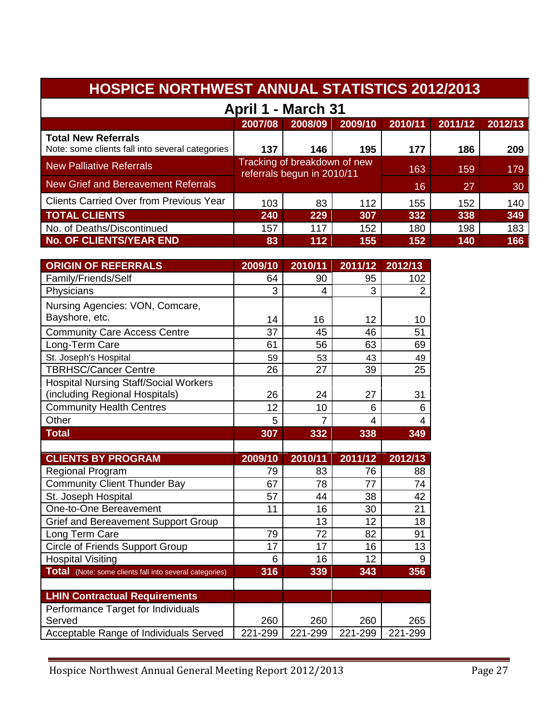<span id="page-26-0"></span>

| <b>HOSPICE NORTHWEST ANNUAL STATISTICS 2012/2013</b>                          |                                                                   |         |         |         |         |         |  |
|-------------------------------------------------------------------------------|-------------------------------------------------------------------|---------|---------|---------|---------|---------|--|
| April 1 - March 31                                                            |                                                                   |         |         |         |         |         |  |
|                                                                               | 2007/08                                                           | 2008/09 | 2009/10 | 2010/11 | 2011/12 | 2012/13 |  |
| <b>Total New Referrals</b><br>Note: some clients fall into several categories | 137                                                               | 146     | 195     | 177     | 186     | 209     |  |
| <b>New Palliative Referrals</b>                                               | Tracking of breakdown of new<br>163<br>referrals begun in 2010/11 |         |         |         | 159     | 179     |  |
| New Grief and Bereavement Referrals                                           |                                                                   |         |         | 16      | 27      | 30      |  |
| <b>Clients Carried Over from Previous Year</b>                                | 103                                                               | 83      | 112     | 155     | 152     | 140     |  |
| <b>TOTAL CLIENTS</b>                                                          | 240                                                               | 229     | 307     | 332     | 338     | 349     |  |
| No. of Deaths/Discontinued                                                    | 157                                                               | 117     | 152     | 180     | 198     | 183     |  |
| <b>No. OF CLIENTS/YEAR END</b>                                                | 83                                                                | 112     | 155     | 152     | 140     | 166     |  |

| <b>ORIGIN OF REFERRALS</b>                              | 2009/10        | 2010/11         | 2011/12        | 2012/13        |
|---------------------------------------------------------|----------------|-----------------|----------------|----------------|
| Family/Friends/Self                                     | 64             | 90              | 95             | 102            |
| Physicians                                              | 3              | 4               | 3              | $\overline{2}$ |
| Nursing Agencies: VON, Comcare,                         |                |                 |                |                |
| Bayshore, etc.                                          | 14             | 16              | 12             | 10             |
| <b>Community Care Access Centre</b>                     | 37             | 45              | 46             | 51             |
| Long-Term Care                                          | 61             | 56              | 63             | 69             |
| St. Joseph's Hospital                                   | 59             | 53              | 43             | 49             |
| <b>TBRHSC/Cancer Centre</b>                             | 26             | 27              | 39             | 25             |
| <b>Hospital Nursing Staff/Social Workers</b>            |                |                 |                |                |
| (including Regional Hospitals)                          | 26             | 24              | 27             | 31             |
| <b>Community Health Centres</b>                         | 12             | 10              | 6              | 6              |
| Other                                                   | 5              | $\overline{7}$  | 4              | $\overline{4}$ |
| <b>Total</b>                                            | 307            | 332             | 338            | 349            |
|                                                         |                |                 |                |                |
|                                                         |                |                 |                |                |
| <b>CLIENTS BY PROGRAM</b>                               | 2009/10        | 2010/11         | 2011/12        | 2012/13        |
| <b>Regional Program</b>                                 | 79             | 83              | 76             | 88             |
| <b>Community Client Thunder Bay</b>                     | 67             | 78              | 77             | 74             |
| St. Joseph Hospital                                     | 57             | 44              | 38             | 42             |
| One-to-One Bereavement                                  | 11             | 16              | 30             | 21             |
| <b>Grief and Bereavement Support Group</b>              |                | 13              | 12             | 18             |
| Long Term Care                                          | 79             | $\overline{72}$ | 82             | 91             |
| <b>Circle of Friends Support Group</b>                  | 17             | 17              | 16             | 13             |
| <b>Hospital Visiting</b>                                | 6              | 16              | 12             | 9              |
| Total (Note: some clients fall into several categories) | 316            | 339             | 343            | 356            |
|                                                         |                |                 |                |                |
| <b>LHIN Contractual Requirements</b>                    |                |                 |                |                |
| Performance Target for Individuals                      |                |                 |                |                |
| Served<br>Acceptable Range of Individuals Served        | 260<br>221-299 | 260<br>221-299  | 260<br>221-299 | 265<br>221-299 |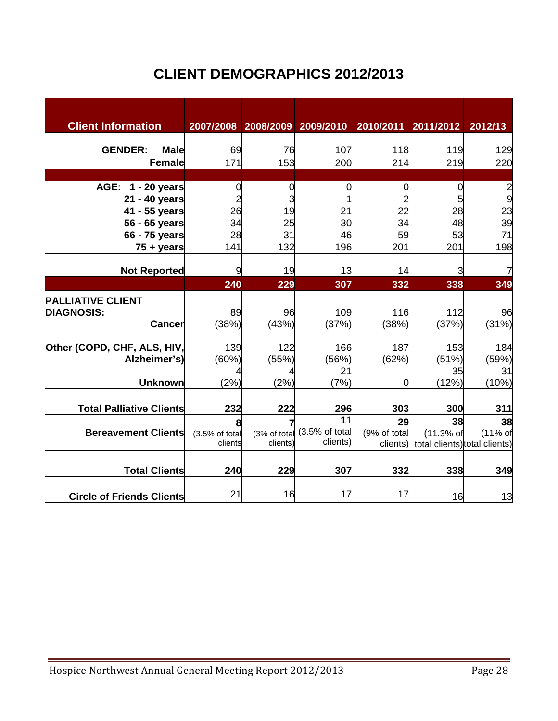# **CLIENT DEMOGRAPHICS 2012/2013**

<span id="page-27-0"></span>

| <b>Client Information</b>        | 2007/2008      |              | 2008/2009 2009/2010 | 2010/2011      | 2011/2012                     | 2012/13         |
|----------------------------------|----------------|--------------|---------------------|----------------|-------------------------------|-----------------|
|                                  |                |              |                     |                |                               |                 |
| <b>GENDER:</b><br><b>Male</b>    | 69             | 76           | 107                 | 118            | 119                           | 129             |
| Female                           | 171            | 153          | 200                 | 214            | 219                           | 220             |
|                                  |                |              |                     |                |                               |                 |
| <b>AGE: 1 - 20 years</b>         | 0              | 0            | 0                   | 0              | 0                             | $\overline{c}$  |
| 21 - 40 years                    | $\overline{2}$ | 3            |                     | $\overline{2}$ | 5                             | 9               |
| 41 - 55 years                    | 26             | 19           | 21                  | 22             | 28                            |                 |
| 56 - 65 years                    | 34             | 25           | 30                  | 34             | 48                            | $\frac{23}{71}$ |
| 66 - 75 years                    | 28             | 31           | 46                  | 59             | 53                            |                 |
| $75 + years$                     | 141            | 132          | 196                 | 201            | 201                           | 198             |
| <b>Not Reported</b>              | 9              | 19           | 13                  | 14             | 3                             |                 |
|                                  | 240            | 229          | 307                 | 332            | 338                           | 349             |
| <b>PALLIATIVE CLIENT</b>         |                |              |                     |                |                               |                 |
| <b>DIAGNOSIS:</b>                | 89             | 96           | 109                 | 116            | 112                           | 96              |
| <b>Cancer</b>                    | (38%)          | (43%)        | (37%)               | (38%)          | (37%)                         | (31%)           |
|                                  |                |              |                     |                |                               |                 |
| Other (COPD, CHF, ALS, HIV,      | 139            | 122          | 166                 | 187            | 153                           | 184             |
| Alzheimer's)                     | (60%)          | (55%)        | (56%)               | (62%)          | (51%)                         | (59%)           |
|                                  |                |              | 21                  |                | 35                            | 31              |
| <b>Unknown</b>                   | (2%)           | (2%)         | (7%)                | Ω              | (12%)                         | (10%)           |
|                                  |                |              |                     |                |                               |                 |
| <b>Total Palliative Clients</b>  | 232            | 222          | 296                 | 303            | 300                           | 311             |
|                                  |                |              | 11                  | 29             | 38                            | 38              |
| <b>Bereavement Clients</b>       | (3.5% of total | (3% of total | (3.5% of total      | (9% of total   | (11.3% of                     | (11% of         |
|                                  | clients        | clients)     | clients)            | clients)       | total clients) total clients) |                 |
|                                  |                |              |                     |                |                               |                 |
| <b>Total Clients</b>             | 240            | 229          | 307                 | 332            | 338                           | 349             |
|                                  |                |              |                     |                |                               |                 |
| <b>Circle of Friends Clients</b> | 21             | 16           | 17                  | 17             | 16                            | 13              |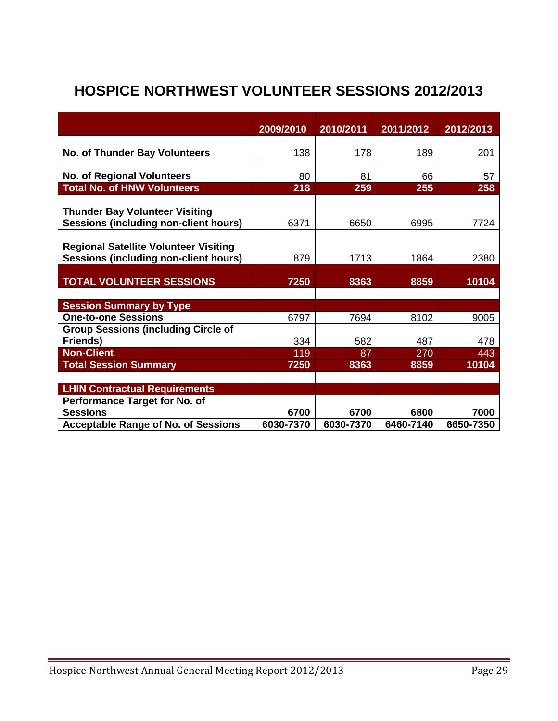# <span id="page-28-0"></span>**HOSPICE NORTHWEST VOLUNTEER SESSIONS 2012/2013**

|                                                                                              | 2009/2010 | 2010/2011 | 2011/2012 | 2012/2013 |
|----------------------------------------------------------------------------------------------|-----------|-----------|-----------|-----------|
| <b>No. of Thunder Bay Volunteers</b>                                                         | 138       | 178       | 189       | 201       |
| <b>No. of Regional Volunteers</b>                                                            | 80        | 81        | 66        | 57        |
| <b>Total No. of HNW Volunteers</b>                                                           | 218       | 259       | 255       | 258       |
| <b>Thunder Bay Volunteer Visiting</b><br><b>Sessions (including non-client hours)</b>        | 6371      | 6650      | 6995      | 7724      |
| <b>Regional Satellite Volunteer Visiting</b><br><b>Sessions (including non-client hours)</b> | 879       | 1713      | 1864      | 2380      |
| <b>TOTAL VOLUNTEER SESSIONS</b>                                                              | 7250      | 8363      | 8859      | 10104     |
|                                                                                              |           |           |           |           |
| <b>Session Summary by Type</b>                                                               |           |           |           |           |
| <b>One-to-one Sessions</b>                                                                   | 6797      | 7694      | 8102      | 9005      |
| <b>Group Sessions (including Circle of</b><br>Friends)                                       | 334       | 582       | 487       | 478       |
| <b>Non-Client</b>                                                                            | 119       | 87        | 270       | 443       |
| <b>Total Session Summary</b>                                                                 | 7250      | 8363      | 8859      | 10104     |
|                                                                                              |           |           |           |           |
| <b>LHIN Contractual Requirements</b>                                                         |           |           |           |           |
| Performance Target for No. of                                                                |           |           |           |           |
| <b>Sessions</b>                                                                              | 6700      | 6700      | 6800      | 7000      |
| <b>Acceptable Range of No. of Sessions</b>                                                   | 6030-7370 | 6030-7370 | 6460-7140 | 6650-7350 |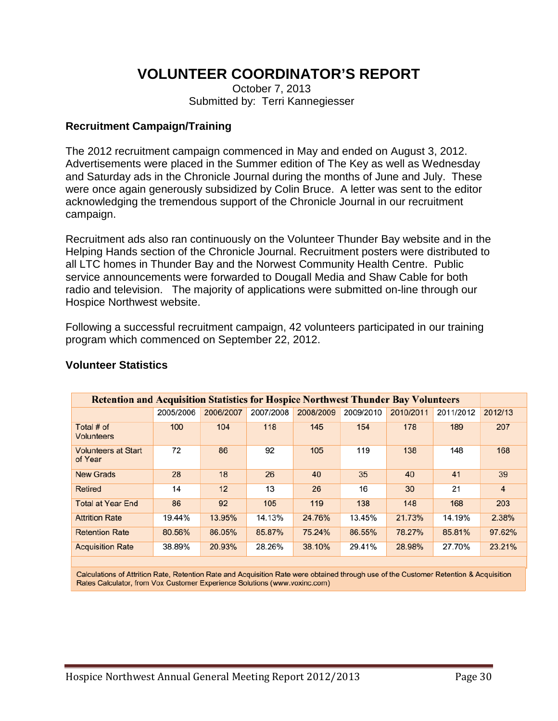# **VOLUNTEER COORDINATOR'S REPORT**

October 7, 2013 Submitted by: Terri Kannegiesser

### <span id="page-29-0"></span>**Recruitment Campaign/Training**

The 2012 recruitment campaign commenced in May and ended on August 3, 2012. Advertisements were placed in the Summer edition of The Key as well as Wednesday and Saturday ads in the Chronicle Journal during the months of June and July. These were once again generously subsidized by Colin Bruce. A letter was sent to the editor acknowledging the tremendous support of the Chronicle Journal in our recruitment campaign.

Recruitment ads also ran continuously on the Volunteer Thunder Bay website and in the Helping Hands section of the Chronicle Journal. Recruitment posters were distributed to all LTC homes in Thunder Bay and the Norwest Community Health Centre. Public service announcements were forwarded to Dougall Media and Shaw Cable for both radio and television. The majority of applications were submitted on-line through our Hospice Northwest website.

Following a successful recruitment campaign, 42 volunteers participated in our training program which commenced on September 22, 2012.

| <b>Retention and Acquisition Statistics for Hospice Northwest Thunder Bay Volunteers</b> |           |           |           |           |           |           |           |                |
|------------------------------------------------------------------------------------------|-----------|-----------|-----------|-----------|-----------|-----------|-----------|----------------|
|                                                                                          | 2005/2006 | 2006/2007 | 2007/2008 | 2008/2009 | 2009/2010 | 2010/2011 | 2011/2012 | 2012/13        |
| Total # of<br><b>Volunteers</b>                                                          | 100       | 104       | 118       | 145       | 154       | 178       | 189       | 207            |
| <b>Volunteers at Start</b><br>of Year                                                    | 72        | 86        | 92        | 105       | 119       | 138       | 148       | 168            |
| <b>New Grads</b>                                                                         | 28        | 18        | 26        | 40        | 35        | 40        | 41        | 39             |
| Retired                                                                                  | 14        | 12        | 13        | 26        | 16        | 30        | 21        | $\overline{4}$ |
| <b>Total at Year End</b>                                                                 | 86        | 92        | 105       | 119       | 138       | 148       | 168       | 203            |
| <b>Attrition Rate</b>                                                                    | 19.44%    | 13.95%    | 14.13%    | 24.76%    | 13.45%    | 21.73%    | 14.19%    | 2.38%          |
| <b>Retention Rate</b>                                                                    | 80.56%    | 86.05%    | 85.87%    | 75.24%    | 86.55%    | 78.27%    | 85.81%    | 97.62%         |
| <b>Acquisition Rate</b>                                                                  | 38.89%    | 20.93%    | 28.26%    | 38.10%    | 29.41%    | 28.98%    | 27.70%    | 23.21%         |

### **Volunteer Statistics**

Calculations of Attrition Rate, Retention Rate and Acquisition Rate were obtained through use of the Customer Retention & Acquisition Rates Calculator, from Vox Customer Experience Solutions (www.voxinc.com)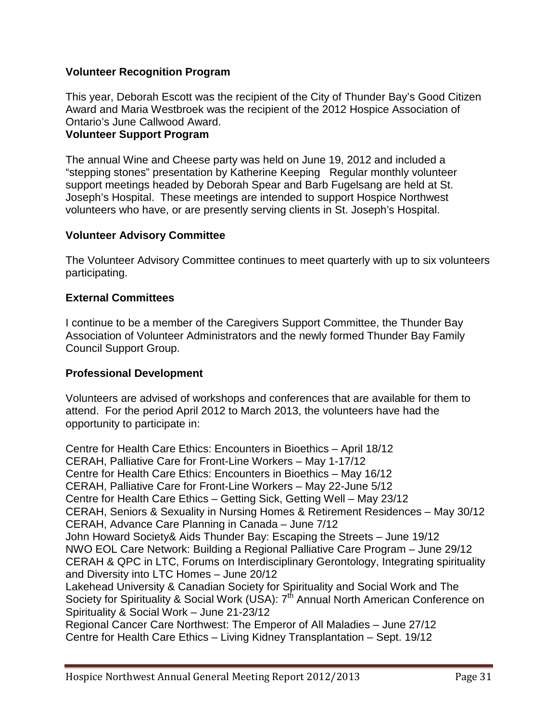## **Volunteer Recognition Program**

This year, Deborah Escott was the recipient of the City of Thunder Bay's Good Citizen Award and Maria Westbroek was the recipient of the 2012 Hospice Association of Ontario's June Callwood Award.

### **Volunteer Support Program**

The annual Wine and Cheese party was held on June 19, 2012 and included a "stepping stones" presentation by Katherine Keeping Regular monthly volunteer support meetings headed by Deborah Spear and Barb Fugelsang are held at St. Joseph's Hospital. These meetings are intended to support Hospice Northwest volunteers who have, or are presently serving clients in St. Joseph's Hospital.

### **Volunteer Advisory Committee**

The Volunteer Advisory Committee continues to meet quarterly with up to six volunteers participating.

### **External Committees**

I continue to be a member of the Caregivers Support Committee, the Thunder Bay Association of Volunteer Administrators and the newly formed Thunder Bay Family Council Support Group.

### **Professional Development**

Volunteers are advised of workshops and conferences that are available for them to attend. For the period April 2012 to March 2013, the volunteers have had the opportunity to participate in:

Centre for Health Care Ethics: Encounters in Bioethics – April 18/12 CERAH, Palliative Care for Front-Line Workers – May 1-17/12 Centre for Health Care Ethics: Encounters in Bioethics – May 16/12 CERAH, Palliative Care for Front-Line Workers – May 22-June 5/12 Centre for Health Care Ethics – Getting Sick, Getting Well – May 23/12 CERAH, Seniors & Sexuality in Nursing Homes & Retirement Residences – May 30/12 CERAH, Advance Care Planning in Canada – June 7/12 John Howard Society& Aids Thunder Bay: Escaping the Streets – June 19/12 NWO EOL Care Network: Building a Regional Palliative Care Program – June 29/12 CERAH & QPC in LTC, Forums on Interdisciplinary Gerontology, Integrating spirituality and Diversity into LTC Homes – June 20/12 Lakehead University & Canadian Society for Spirituality and Social Work and The Society for Spirituality & Social Work (USA): 7<sup>th</sup> Annual North American Conference on Spirituality & Social Work – June 21-23/12 Regional Cancer Care Northwest: The Emperor of All Maladies – June 27/12 Centre for Health Care Ethics – Living Kidney Transplantation – Sept. 19/12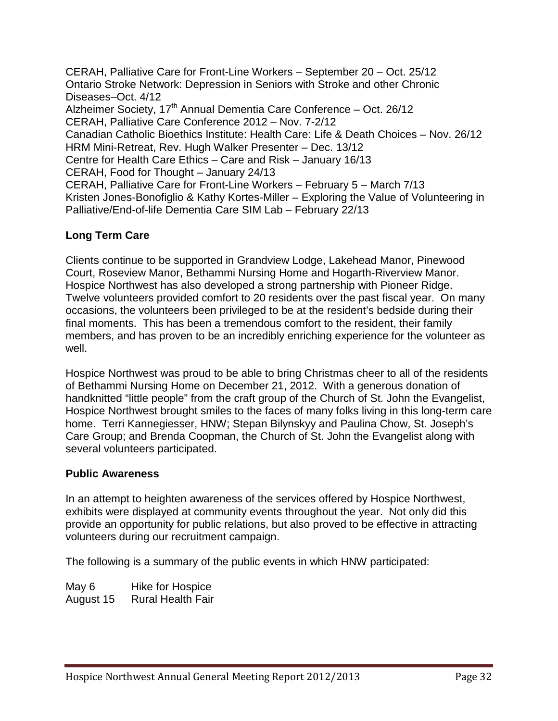CERAH, Palliative Care for Front-Line Workers – September 20 – Oct. 25/12 Ontario Stroke Network: Depression in Seniors with Stroke and other Chronic Diseases–Oct. 4/12 Alzheimer Society, 17<sup>th</sup> Annual Dementia Care Conference – Oct. 26/12 CERAH, Palliative Care Conference 2012 – Nov. 7-2/12 Canadian Catholic Bioethics Institute: Health Care: Life & Death Choices – Nov. 26/12 HRM Mini-Retreat, Rev. Hugh Walker Presenter – Dec. 13/12 Centre for Health Care Ethics – Care and Risk – January 16/13 CERAH, Food for Thought – January 24/13 CERAH, Palliative Care for Front-Line Workers – February 5 – March 7/13 Kristen Jones-Bonofiglio & Kathy Kortes-Miller – Exploring the Value of Volunteering in Palliative/End-of-life Dementia Care SIM Lab – February 22/13

# **Long Term Care**

Clients continue to be supported in Grandview Lodge, Lakehead Manor, Pinewood Court, Roseview Manor, Bethammi Nursing Home and Hogarth-Riverview Manor. Hospice Northwest has also developed a strong partnership with Pioneer Ridge. Twelve volunteers provided comfort to 20 residents over the past fiscal year. On many occasions, the volunteers been privileged to be at the resident's bedside during their final moments. This has been a tremendous comfort to the resident, their family members, and has proven to be an incredibly enriching experience for the volunteer as well.

Hospice Northwest was proud to be able to bring Christmas cheer to all of the residents of Bethammi Nursing Home on December 21, 2012. With a generous donation of handknitted "little people" from the craft group of the Church of St. John the Evangelist, Hospice Northwest brought smiles to the faces of many folks living in this long-term care home. Terri Kannegiesser, HNW; Stepan Bilynskyy and Paulina Chow, St. Joseph's Care Group; and Brenda Coopman, the Church of St. John the Evangelist along with several volunteers participated.

# **Public Awareness**

In an attempt to heighten awareness of the services offered by Hospice Northwest, exhibits were displayed at community events throughout the year. Not only did this provide an opportunity for public relations, but also proved to be effective in attracting volunteers during our recruitment campaign.

The following is a summary of the public events in which HNW participated:

May 6 Hike for Hospice August 15 Rural Health Fair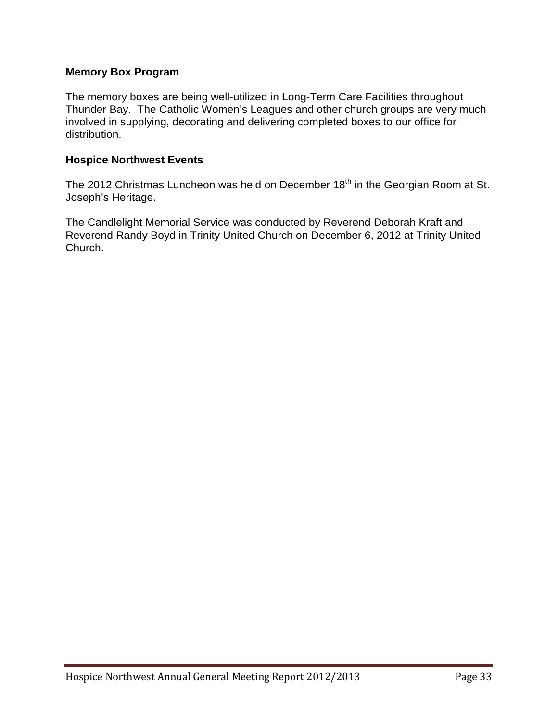## **Memory Box Program**

The memory boxes are being well-utilized in Long-Term Care Facilities throughout Thunder Bay. The Catholic Women's Leagues and other church groups are very much involved in supplying, decorating and delivering completed boxes to our office for distribution.

## **Hospice Northwest Events**

The 2012 Christmas Luncheon was held on December  $18<sup>th</sup>$  in the Georgian Room at St. Joseph's Heritage.

The Candlelight Memorial Service was conducted by Reverend Deborah Kraft and Reverend Randy Boyd in Trinity United Church on December 6, 2012 at Trinity United Church.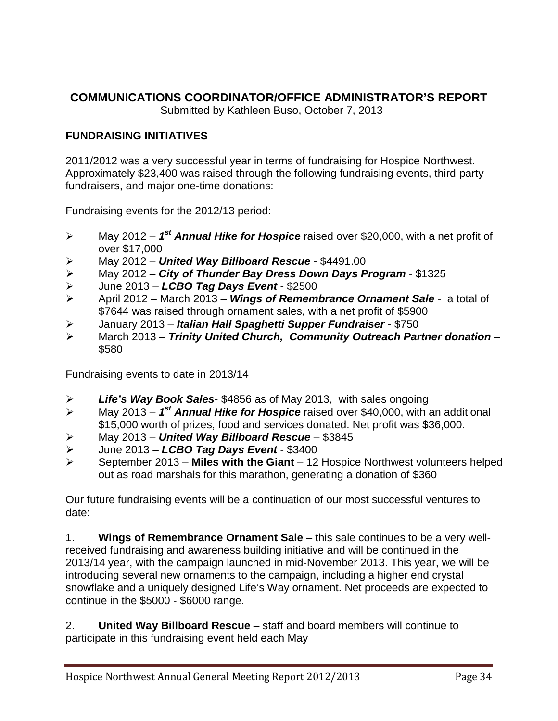# <span id="page-33-0"></span>**COMMUNICATIONS COORDINATOR/OFFICE ADMINISTRATOR'S REPORT**

Submitted by Kathleen Buso, October 7, 2013

# **FUNDRAISING INITIATIVES**

2011/2012 was a very successful year in terms of fundraising for Hospice Northwest. Approximately \$23,400 was raised through the following fundraising events, third-party fundraisers, and major one-time donations:

Fundraising events for the 2012/13 period:

- May 2012 *1st Annual Hike for Hospice* raised over \$20,000, with a net profit of over \$17,000
- May 2012 *United Way Billboard Rescue* \$4491.00
- May 2012 *City of Thunder Bay Dress Down Days Program* \$1325
- June 2013 *LCBO Tag Days Event* \$2500
- April 2012 March 2013 *Wings of Remembrance Ornament Sale* a total of \$7644 was raised through ornament sales, with a net profit of \$5900
- January 2013 *Italian Hall Spaghetti Supper Fundraiser* \$750
- March 2013 *Trinity United Church, Community Outreach Partner donation* \$580

Fundraising events to date in 2013/14

- *Life's Way Book Sales* \$4856 as of May 2013, with sales ongoing
- May 2013 *1st Annual Hike for Hospice* raised over \$40,000, with an additional \$15,000 worth of prizes, food and services donated. Net profit was \$36,000.
- > May 2013 **United Way Billboard Rescue** \$3845<br>
→ June 2013 LCBO Tag Days Event \$3400
- June 2013 *LCBO Tag Days Event* \$3400
- September 2013 **Miles with the Giant** 12 Hospice Northwest volunteers helped out as road marshals for this marathon, generating a donation of \$360

Our future fundraising events will be a continuation of our most successful ventures to date:

1. **Wings of Remembrance Ornament Sale** – this sale continues to be a very wellreceived fundraising and awareness building initiative and will be continued in the 2013/14 year, with the campaign launched in mid-November 2013. This year, we will be introducing several new ornaments to the campaign, including a higher end crystal snowflake and a uniquely designed Life's Way ornament. Net proceeds are expected to continue in the \$5000 - \$6000 range.

2. **United Way Billboard Rescue** – staff and board members will continue to participate in this fundraising event held each May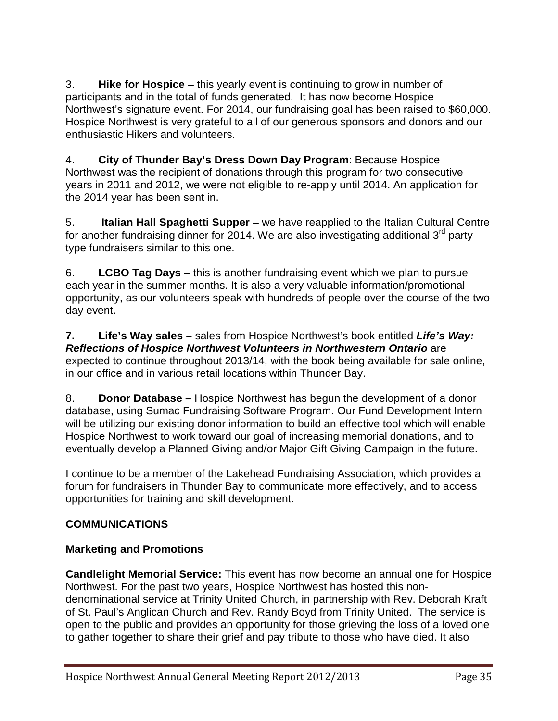3. **Hike for Hospice** – this yearly event is continuing to grow in number of participants and in the total of funds generated. It has now become Hospice Northwest's signature event. For 2014, our fundraising goal has been raised to \$60,000. Hospice Northwest is very grateful to all of our generous sponsors and donors and our enthusiastic Hikers and volunteers.

4. **City of Thunder Bay's Dress Down Day Program**: Because Hospice Northwest was the recipient of donations through this program for two consecutive years in 2011 and 2012, we were not eligible to re-apply until 2014. An application for the 2014 year has been sent in.

5. **Italian Hall Spaghetti Supper** – we have reapplied to the Italian Cultural Centre for another fundraising dinner for 2014. We are also investigating additional  $3<sup>rd</sup>$  party type fundraisers similar to this one.

6. **LCBO Tag Days** – this is another fundraising event which we plan to pursue each year in the summer months. It is also a very valuable information/promotional opportunity, as our volunteers speak with hundreds of people over the course of the two day event.

**7. Life's Way sales –** sales from Hospice Northwest's book entitled *Life's Way: Reflections of Hospice Northwest Volunteers in Northwestern Ontario* are expected to continue throughout 2013/14, with the book being available for sale online, in our office and in various retail locations within Thunder Bay.

8. **Donor Database –** Hospice Northwest has begun the development of a donor database, using Sumac Fundraising Software Program. Our Fund Development Intern will be utilizing our existing donor information to build an effective tool which will enable Hospice Northwest to work toward our goal of increasing memorial donations, and to eventually develop a Planned Giving and/or Major Gift Giving Campaign in the future.

I continue to be a member of the Lakehead Fundraising Association, which provides a forum for fundraisers in Thunder Bay to communicate more effectively, and to access opportunities for training and skill development.

# **COMMUNICATIONS**

# **Marketing and Promotions**

**Candlelight Memorial Service:** This event has now become an annual one for Hospice Northwest. For the past two years, Hospice Northwest has hosted this nondenominational service at Trinity United Church, in partnership with Rev. Deborah Kraft of St. Paul's Anglican Church and Rev. Randy Boyd from Trinity United. The service is open to the public and provides an opportunity for those grieving the loss of a loved one to gather together to share their grief and pay tribute to those who have died. It also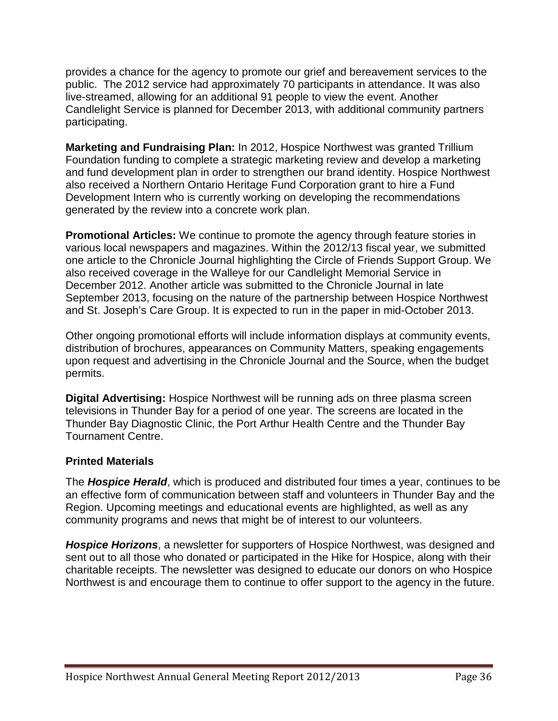provides a chance for the agency to promote our grief and bereavement services to the public. The 2012 service had approximately 70 participants in attendance. It was also live-streamed, allowing for an additional 91 people to view the event. Another Candlelight Service is planned for December 2013, with additional community partners participating.

**Marketing and Fundraising Plan:** In 2012, Hospice Northwest was granted Trillium Foundation funding to complete a strategic marketing review and develop a marketing and fund development plan in order to strengthen our brand identity. Hospice Northwest also received a Northern Ontario Heritage Fund Corporation grant to hire a Fund Development Intern who is currently working on developing the recommendations generated by the review into a concrete work plan.

**Promotional Articles:** We continue to promote the agency through feature stories in various local newspapers and magazines. Within the 2012/13 fiscal year, we submitted one article to the Chronicle Journal highlighting the Circle of Friends Support Group. We also received coverage in the Walleye for our Candlelight Memorial Service in December 2012. Another article was submitted to the Chronicle Journal in late September 2013, focusing on the nature of the partnership between Hospice Northwest and St. Joseph's Care Group. It is expected to run in the paper in mid-October 2013.

Other ongoing promotional efforts will include information displays at community events, distribution of brochures, appearances on Community Matters, speaking engagements upon request and advertising in the Chronicle Journal and the Source, when the budget permits.

**Digital Advertising:** Hospice Northwest will be running ads on three plasma screen televisions in Thunder Bay for a period of one year. The screens are located in the Thunder Bay Diagnostic Clinic, the Port Arthur Health Centre and the Thunder Bay Tournament Centre.

# **Printed Materials**

The *Hospice Herald*, which is produced and distributed four times a year, continues to be an effective form of communication between staff and volunteers in Thunder Bay and the Region. Upcoming meetings and educational events are highlighted, as well as any community programs and news that might be of interest to our volunteers.

*Hospice Horizons*, a newsletter for supporters of Hospice Northwest, was designed and sent out to all those who donated or participated in the Hike for Hospice, along with their charitable receipts. The newsletter was designed to educate our donors on who Hospice Northwest is and encourage them to continue to offer support to the agency in the future.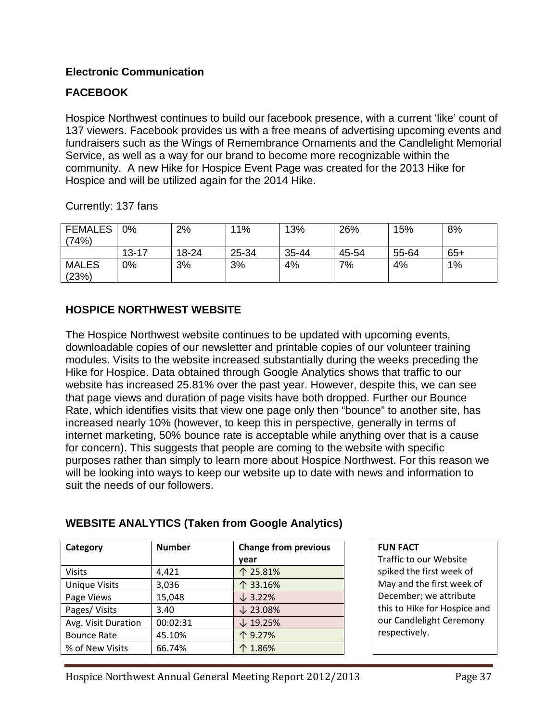# **Electronic Communication**

# **FACEBOOK**

Hospice Northwest continues to build our facebook presence, with a current 'like' count of 137 viewers. Facebook provides us with a free means of advertising upcoming events and fundraisers such as the Wings of Remembrance Ornaments and the Candlelight Memorial Service, as well as a way for our brand to become more recognizable within the community. A new Hike for Hospice Event Page was created for the 2013 Hike for Hospice and will be utilized again for the 2014 Hike.

| <b>FEMALES</b><br>(74%) | $0\%$     | 2%    | 11%   | 13%   | 26%   | 15%   | 8%    |
|-------------------------|-----------|-------|-------|-------|-------|-------|-------|
|                         | $13 - 17$ | 18-24 | 25-34 | 35-44 | 45-54 | 55-64 | $65+$ |
| <b>MALES</b><br>(23%)   | 0%        | 3%    | 3%    | 4%    | 7%    | 4%    | $1\%$ |

Currently: 137 fans

# **HOSPICE NORTHWEST WEBSITE**

The Hospice Northwest website continues to be updated with upcoming events, downloadable copies of our newsletter and printable copies of our volunteer training modules. Visits to the website increased substantially during the weeks preceding the Hike for Hospice. Data obtained through Google Analytics shows that traffic to our website has increased 25.81% over the past year. However, despite this, we can see that page views and duration of page visits have both dropped. Further our Bounce Rate, which identifies visits that view one page only then "bounce" to another site, has increased nearly 10% (however, to keep this in perspective, generally in terms of internet marketing, 50% bounce rate is acceptable while anything over that is a cause for concern). This suggests that people are coming to the website with specific purposes rather than simply to learn more about Hospice Northwest. For this reason we will be looking into ways to keep our website up to date with news and information to suit the needs of our followers.

| <b>WEBSITE ANALYTICS (Taken from Google Analytics)</b> |  |  |
|--------------------------------------------------------|--|--|
|--------------------------------------------------------|--|--|

| Category             | <b>Number</b> | <b>Change from previous</b> |
|----------------------|---------------|-----------------------------|
|                      |               | year                        |
| Visits               | 4,421         | 个 25.81%                    |
| <b>Unique Visits</b> | 3,036         | 个 33.16%                    |
| Page Views           | 15,048        | $\downarrow$ 3.22%          |
| Pages/Visits         | 3.40          | $\downarrow$ 23.08%         |
| Avg. Visit Duration  | 00:02:31      | $\downarrow$ 19.25%         |
| <b>Bounce Rate</b>   | 45.10%        | 个 9.27%                     |
| % of New Visits      | 66.74%        | 个 1.86%                     |

#### **FUN FACT**

Traffic to our Website spiked the first week of May and the first week of December; we attribute this to Hike for Hospice and our Candlelight Ceremony respectively.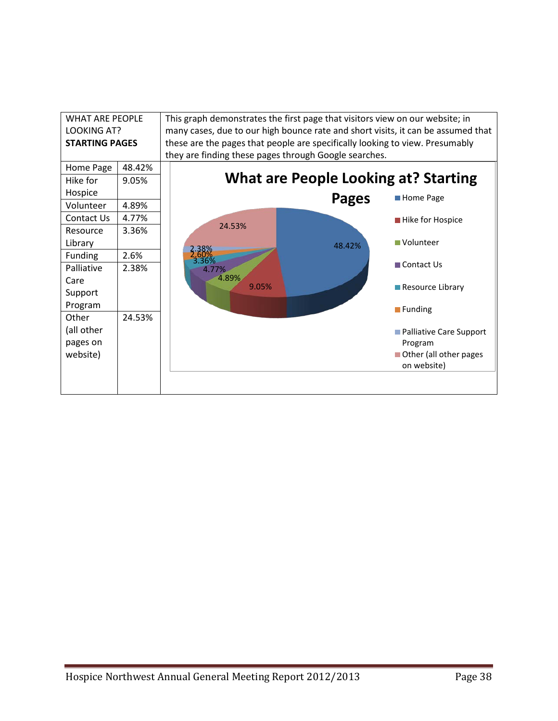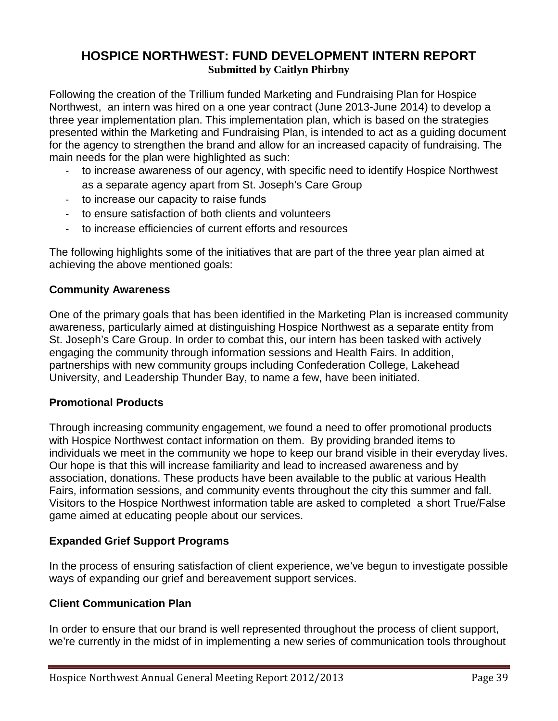# <span id="page-38-0"></span>**HOSPICE NORTHWEST: FUND DEVELOPMENT INTERN REPORT Submitted by Caitlyn Phirbny**

Following the creation of the Trillium funded Marketing and Fundraising Plan for Hospice Northwest, an intern was hired on a one year contract (June 2013-June 2014) to develop a three year implementation plan. This implementation plan, which is based on the strategies presented within the Marketing and Fundraising Plan, is intended to act as a guiding document for the agency to strengthen the brand and allow for an increased capacity of fundraising. The main needs for the plan were highlighted as such:

- to increase awareness of our agency, with specific need to identify Hospice Northwest as a separate agency apart from St. Joseph's Care Group
- to increase our capacity to raise funds
- to ensure satisfaction of both clients and volunteers
- to increase efficiencies of current efforts and resources

The following highlights some of the initiatives that are part of the three year plan aimed at achieving the above mentioned goals:

# **Community Awareness**

One of the primary goals that has been identified in the Marketing Plan is increased community awareness, particularly aimed at distinguishing Hospice Northwest as a separate entity from St. Joseph's Care Group. In order to combat this, our intern has been tasked with actively engaging the community through information sessions and Health Fairs. In addition, partnerships with new community groups including Confederation College, Lakehead University, and Leadership Thunder Bay, to name a few, have been initiated.

# **Promotional Products**

Through increasing community engagement, we found a need to offer promotional products with Hospice Northwest contact information on them. By providing branded items to individuals we meet in the community we hope to keep our brand visible in their everyday lives. Our hope is that this will increase familiarity and lead to increased awareness and by association, donations. These products have been available to the public at various Health Fairs, information sessions, and community events throughout the city this summer and fall. Visitors to the Hospice Northwest information table are asked to completed a short True/False game aimed at educating people about our services.

# **Expanded Grief Support Programs**

In the process of ensuring satisfaction of client experience, we've begun to investigate possible ways of expanding our grief and bereavement support services.

# **Client Communication Plan**

In order to ensure that our brand is well represented throughout the process of client support, we're currently in the midst of in implementing a new series of communication tools throughout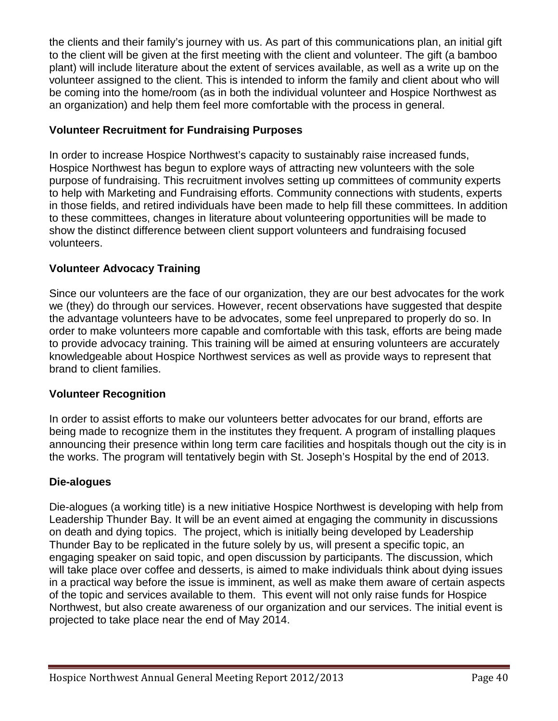the clients and their family's journey with us. As part of this communications plan, an initial gift to the client will be given at the first meeting with the client and volunteer. The gift (a bamboo plant) will include literature about the extent of services available, as well as a write up on the volunteer assigned to the client. This is intended to inform the family and client about who will be coming into the home/room (as in both the individual volunteer and Hospice Northwest as an organization) and help them feel more comfortable with the process in general.

# **Volunteer Recruitment for Fundraising Purposes**

In order to increase Hospice Northwest's capacity to sustainably raise increased funds, Hospice Northwest has begun to explore ways of attracting new volunteers with the sole purpose of fundraising. This recruitment involves setting up committees of community experts to help with Marketing and Fundraising efforts. Community connections with students, experts in those fields, and retired individuals have been made to help fill these committees. In addition to these committees, changes in literature about volunteering opportunities will be made to show the distinct difference between client support volunteers and fundraising focused volunteers.

# **Volunteer Advocacy Training**

Since our volunteers are the face of our organization, they are our best advocates for the work we (they) do through our services. However, recent observations have suggested that despite the advantage volunteers have to be advocates, some feel unprepared to properly do so. In order to make volunteers more capable and comfortable with this task, efforts are being made to provide advocacy training. This training will be aimed at ensuring volunteers are accurately knowledgeable about Hospice Northwest services as well as provide ways to represent that brand to client families.

# **Volunteer Recognition**

In order to assist efforts to make our volunteers better advocates for our brand, efforts are being made to recognize them in the institutes they frequent. A program of installing plaques announcing their presence within long term care facilities and hospitals though out the city is in the works. The program will tentatively begin with St. Joseph's Hospital by the end of 2013.

# **Die-alogues**

Die-alogues (a working title) is a new initiative Hospice Northwest is developing with help from Leadership Thunder Bay. It will be an event aimed at engaging the community in discussions on death and dying topics. The project, which is initially being developed by Leadership Thunder Bay to be replicated in the future solely by us, will present a specific topic, an engaging speaker on said topic, and open discussion by participants. The discussion, which will take place over coffee and desserts, is aimed to make individuals think about dying issues in a practical way before the issue is imminent, as well as make them aware of certain aspects of the topic and services available to them. This event will not only raise funds for Hospice Northwest, but also create awareness of our organization and our services. The initial event is projected to take place near the end of May 2014.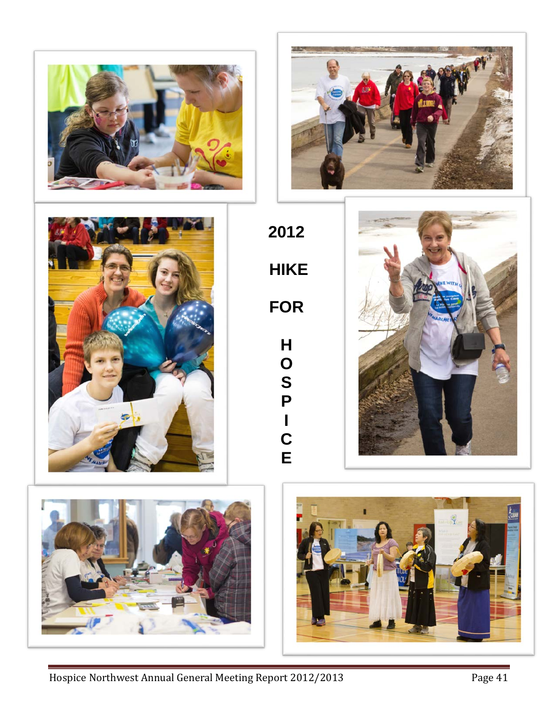





<span id="page-40-0"></span>**2012 HIKE FOR H O S P I C E**